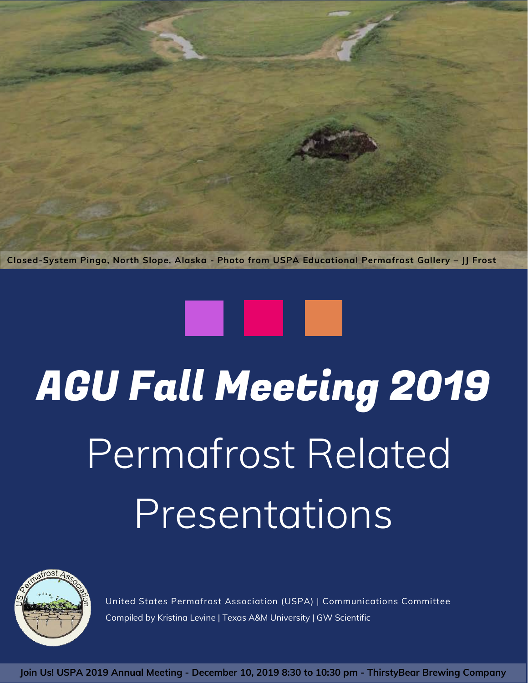

**Closed-System Pingo, North Slope, Alaska - Photo from USPA Educational Permafrost Gallery – JJ Frost**

# a sa Tanzania AGU Fall Meeting 2019 Permafrost Related Presentations



United States Permafrost Association (USPA) | Communications Committee Compiled by Kristina Levine | Texas A&M University | GW Scientific

**Join Us! USPA 2019 Annual Meeting - December 10, 2019 8:30 to 10:30 pm - ThirstyBear Brewing Company**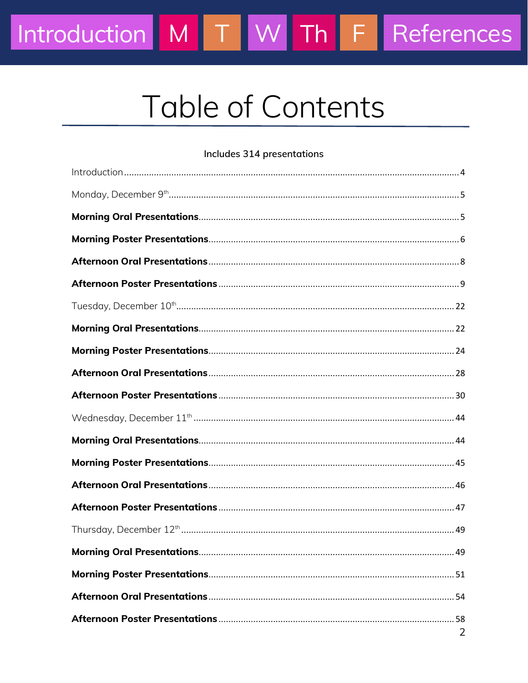#### Introduction MT W Th F References

## **Table of Contents**

#### Includes 314 presentations

| 49 |
|----|
|    |
|    |
| 2  |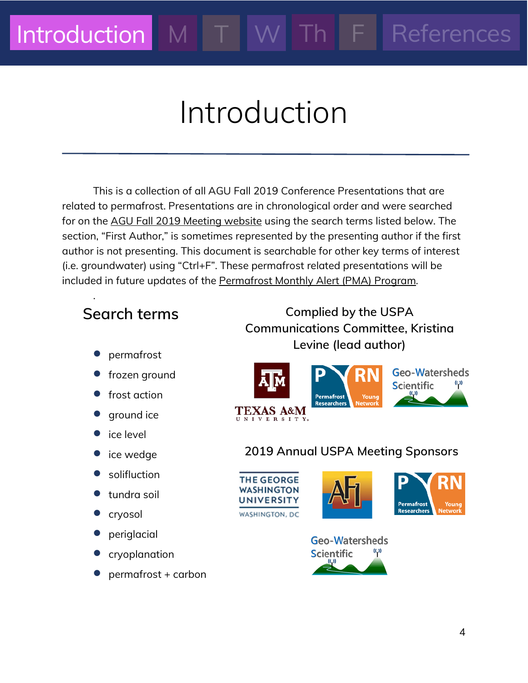## Introduction

<span id="page-3-0"></span>This is a collection of all AGU Fall 2019 Conference Presentations that are related to permafrost. Presentations are in chronological order and were searched for on the [AGU Fall 2019 Meeting website](https://agu.confex.com/agu/fm19/meetingapp.cgi/Search/0?sort=Relevance&size=10&page=1) using the search terms listed below. The section, "First Author," is sometimes represented by the presenting author if the first author is not presenting. This document is searchable for other key terms of interest (i.e. groundwater) using "Ctrl+F". These permafrost related presentations will be included in future updates of the [Permafrost Monthly Alert \(PMA\) Program.](https://uspermafrost.org/monthly-alerts.shtml)

## **Search terms**

.

- permafrost
- frozen ground
- frost action
- ground ice
- ice level
- ice wedge
- solifluction
- tundra soil
- cryosol
- periglacial
- cryoplanation
- permafrost + carbon

#### **Complied by the USPA Communications Committee, Kristina Levine (lead author)**



#### **2019 Annual USPA Meeting Sponsors**







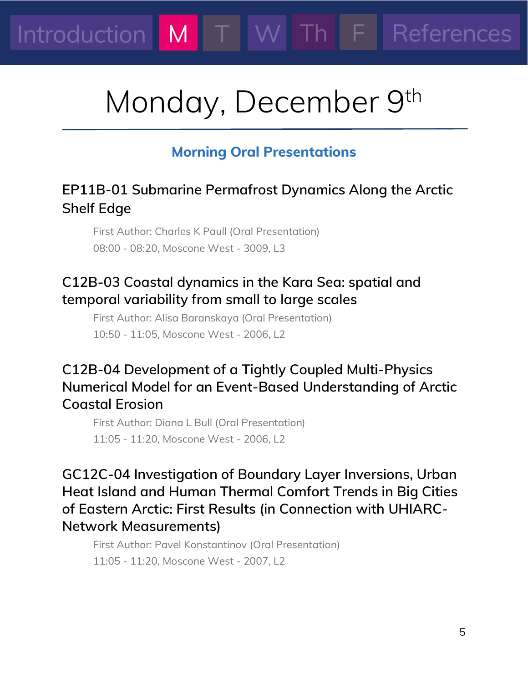## <span id="page-4-0"></span>Monday, December 9th

#### **Morning Oral Presentations**

#### <span id="page-4-1"></span>**EP11B-01 [Submarine Permafrost Dynamics Along the Arctic](https://agu.confex.com/agu/fm19/meetingapp.cgi/Paper/491053)  [Shelf Edge](https://agu.confex.com/agu/fm19/meetingapp.cgi/Paper/491053)**

First Author: Charles K Paull (Oral Presentation) 08:00 - 08:20, Moscone West - 3009, L3

M

**Introduction** 

#### **C12B-03 [Coastal dynamics in the Kara Sea: spatial and](https://agu.confex.com/agu/fm19/meetingapp.cgi/Paper/533828)  [temporal variability from small to large scales](https://agu.confex.com/agu/fm19/meetingapp.cgi/Paper/533828)**

First Author: Alisa Baranskaya (Oral Presentation) 10:50 - 11:05, Moscone West - 2006, L2

#### **C12B-04 [Development of a Tightly Coupled Multi-Physics](https://agu.confex.com/agu/fm19/meetingapp.cgi/Paper/498902)  [Numerical Model for an Event-Based Understanding of Arctic](https://agu.confex.com/agu/fm19/meetingapp.cgi/Paper/498902)  [Coastal Erosion](https://agu.confex.com/agu/fm19/meetingapp.cgi/Paper/498902)**

First Author: Diana L Bull (Oral Presentation) 11:05 - 11:20, Moscone West - 2006, L2

#### **GC12C-04 [Investigation of Boundary Layer Inversions, Urban](https://agu.confex.com/agu/fm19/meetingapp.cgi/Paper/587795)  [Heat Island and Human Thermal Comfort Trends in Big Cities](https://agu.confex.com/agu/fm19/meetingapp.cgi/Paper/587795)  [of Eastern Arctic: First Results \(in Connection with UHIARC-](https://agu.confex.com/agu/fm19/meetingapp.cgi/Paper/587795)[Network Measurements\)](https://agu.confex.com/agu/fm19/meetingapp.cgi/Paper/587795)**

First Author: Pavel Konstantinov (Oral Presentation) 11:05 - 11:20, Moscone West - 2007, L2

References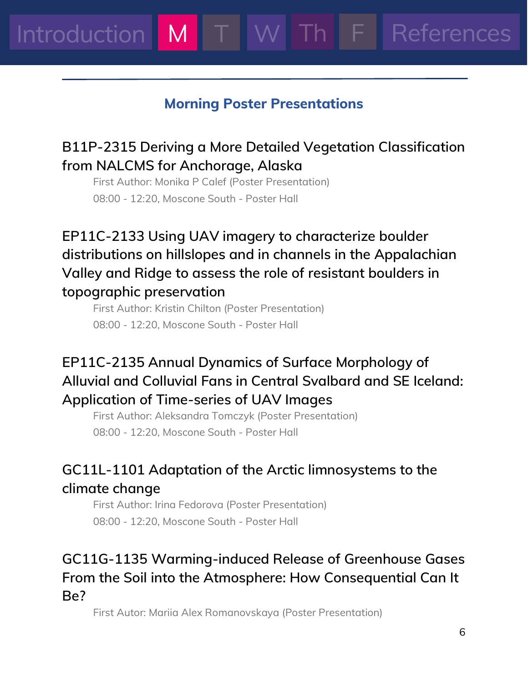#### **Morning Poster Presentations**

#### <span id="page-5-0"></span>**B11P-2315 Deriving a More Detailed Vegetation Classification from NALCMS for Anchorage, Alaska**

First Author: Monika P Calef (Poster Presentation) 08:00 - 12:20, Moscone South - Poster Hall

## **EP11C-2133 Using UAV imagery to characterize boulder distributions on hillslopes and in channels in the Appalachian Valley and Ridge to assess the role of resistant boulders in topographic preservation**

First Author: Kristin Chilton (Poster Presentation) 08:00 - 12:20, Moscone South - Poster Hall

## **EP11C-2135 Annual Dynamics of Surface Morphology of Alluvial and Colluvial Fans in Central Svalbard and SE Iceland: Application of Time-series of UAV Images**

First Author: Aleksandra Tomczyk (Poster Presentation) 08:00 - 12:20, Moscone South - Poster Hall

## **GC11L-1101 Adaptation of the Arctic limnosystems to the climate change**

First Author: Irina Fedorova (Poster Presentation) 08:00 - 12:20, Moscone South - Poster Hall

#### **GC11G-1135 Warming-induced Release of Greenhouse Gases From the Soil into the Atmosphere: How Consequential Can It Be?**

First Autor: Mariia Alex Romanovskaya (Poster Presentation)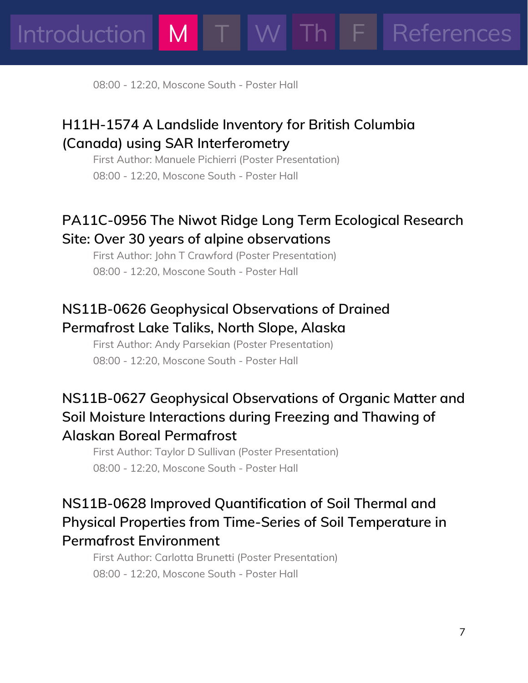08:00 - 12:20, Moscone South - Poster Hall

#### **H11H-1574 A Landslide Inventory for British Columbia (Canada) using SAR Interferometry**

First Author: Manuele Pichierri (Poster Presentation) 08:00 - 12:20, Moscone South - Poster Hall

#### **PA11C-0956 The Niwot Ridge Long Term Ecological Research Site: Over 30 years of alpine observations**

First Author: John T Crawford (Poster Presentation) 08:00 - 12:20, Moscone South - Poster Hall

#### **NS11B-0626 Geophysical Observations of Drained Permafrost Lake Taliks, North Slope, Alaska**

First Author: Andy Parsekian (Poster Presentation) 08:00 - 12:20, Moscone South - Poster Hall

## **NS11B-0627 Geophysical Observations of Organic Matter and Soil Moisture Interactions during Freezing and Thawing of Alaskan Boreal Permafrost**

First Author: Taylor D Sullivan (Poster Presentation) 08:00 - 12:20, Moscone South - Poster Hall

## **NS11B-0628 Improved Quantification of Soil Thermal and Physical Properties from Time-Series of Soil Temperature in Permafrost Environment**

First Author: Carlotta Brunetti (Poster Presentation) 08:00 - 12:20, Moscone South - Poster Hall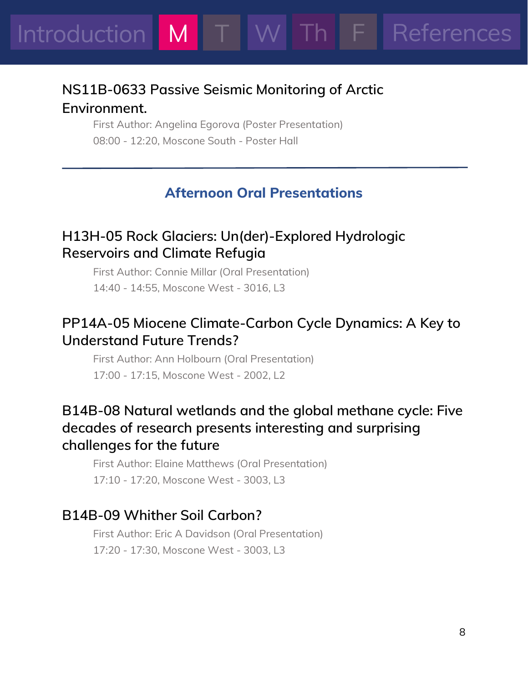#### **NS11B-0633 Passive Seismic Monitoring of Arctic Environment.**

First Author: Angelina Egorova (Poster Presentation) 08:00 - 12:20, Moscone South - Poster Hall

#### **Afternoon Oral Presentations**

#### <span id="page-7-0"></span>**H13H-05 [Rock Glaciers: Un\(der\)-Explored Hydrologic](https://agu.confex.com/agu/fm19/meetingapp.cgi/Paper/493671)  [Reservoirs and Climate Refugia](https://agu.confex.com/agu/fm19/meetingapp.cgi/Paper/493671)**

First Author: Connie Millar (Oral Presentation) 14:40 - 14:55, Moscone West - 3016, L3

#### **PP14A-05 [Miocene Climate-Carbon Cycle Dynamics: A Key to](https://agu.confex.com/agu/fm19/meetingapp.cgi/Paper/538498)  [Understand Future Trends?](https://agu.confex.com/agu/fm19/meetingapp.cgi/Paper/538498)**

First Author: Ann Holbourn (Oral Presentation) 17:00 - 17:15, Moscone West - 2002, L2

#### **B14B-08 [Natural wetlands and the global methane cycle: Five](https://agu.confex.com/agu/fm19/meetingapp.cgi/Paper/554236)  [decades of research presents interesting and surprising](https://agu.confex.com/agu/fm19/meetingapp.cgi/Paper/554236)  [challenges for the future](https://agu.confex.com/agu/fm19/meetingapp.cgi/Paper/554236)**

First Author: Elaine Matthews (Oral Presentation) 17:10 - 17:20, Moscone West - 3003, L3

#### **B14B-09 [Whither Soil Carbon?](https://agu.confex.com/agu/fm19/meetingapp.cgi/Paper/540714)**

First Author: Eric A Davidson (Oral Presentation) 17:20 - 17:30, Moscone West - 3003, L3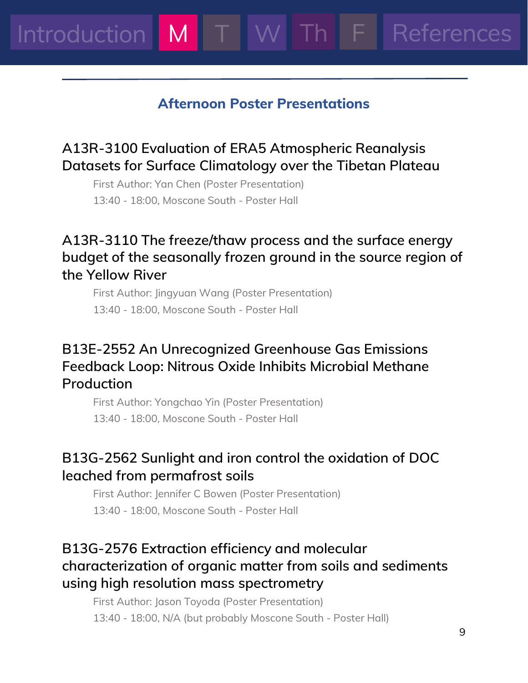#### **Afternoon Poster Presentations**

#### <span id="page-8-0"></span>**A13R-3100 Evaluation of ERA5 Atmospheric Reanalysis Datasets for Surface Climatology over the Tibetan Plateau**

First Author: Yan Chen (Poster Presentation) 13:40 - 18:00, Moscone South - Poster Hall

#### **A13R-3110 The freeze/thaw process and the surface energy budget of the seasonally frozen ground in the source region of the Yellow River**

First Author: Jingyuan Wang (Poster Presentation) 13:40 - 18:00, Moscone South - Poster Hall

#### **B13E-2552 An Unrecognized Greenhouse Gas Emissions Feedback Loop: Nitrous Oxide Inhibits Microbial Methane Production**

First Author: Yongchao Yin (Poster Presentation) 13:40 - 18:00, Moscone South - Poster Hall

#### **B13G-2562 Sunlight and iron control the oxidation of DOC leached from permafrost soils**

First Author: Jennifer C Bowen (Poster Presentation)

13:40 - 18:00, Moscone South - Poster Hall

#### **B13G-2576 Extraction efficiency and molecular characterization of organic matter from soils and sediments using high resolution mass spectrometry**

First Author: Jason Toyoda (Poster Presentation) 13:40 - 18:00, N/A (but probably Moscone South - Poster Hall)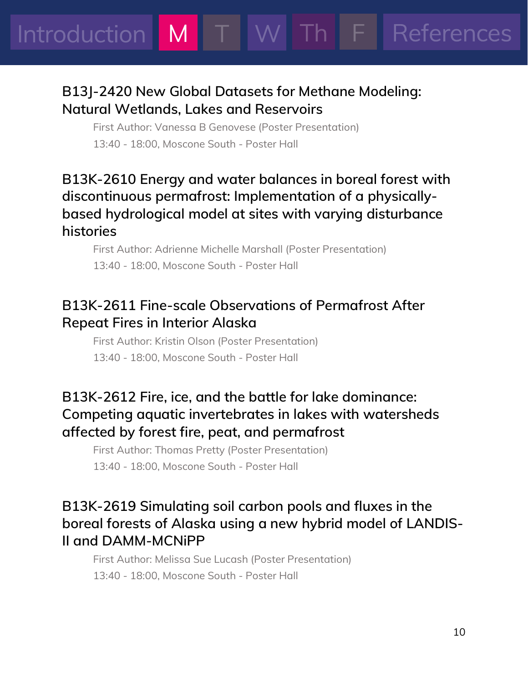## **References**

## **B13J-2420 New Global Datasets for Methane Modeling: Natural Wetlands, Lakes and Reservoirs**

First Author: Vanessa B Genovese (Poster Presentation) 13:40 - 18:00, Moscone South - Poster Hall

M

Introduction

#### **B13K-2610 Energy and water balances in boreal forest with discontinuous permafrost: Implementation of a physicallybased hydrological model at sites with varying disturbance histories**

First Author: Adrienne Michelle Marshall (Poster Presentation) 13:40 - 18:00, Moscone South - Poster Hall

#### **B13K-2611 Fine-scale Observations of Permafrost After Repeat Fires in Interior Alaska**

First Author: Kristin Olson (Poster Presentation) 13:40 - 18:00, Moscone South - Poster Hall

#### **B13K-2612 Fire, ice, and the battle for lake dominance: Competing aquatic invertebrates in lakes with watersheds affected by forest fire, peat, and permafrost**

First Author: Thomas Pretty (Poster Presentation) 13:40 - 18:00, Moscone South - Poster Hall

#### **B13K-2619 Simulating soil carbon pools and fluxes in the boreal forests of Alaska using a new hybrid model of LANDIS-II and DAMM-MCNiPP**

First Author: Melissa Sue Lucash (Poster Presentation) 13:40 - 18:00, Moscone South - Poster Hall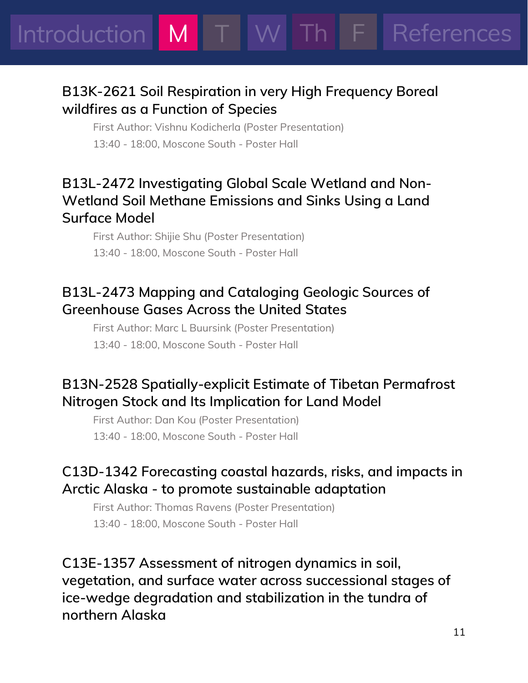### **B13K-2621 Soil Respiration in very High Frequency Boreal wildfires as a Function of Species**

First Author: Vishnu Kodicherla (Poster Presentation) 13:40 - 18:00, Moscone South - Poster Hall

#### **B13L-2472 Investigating Global Scale Wetland and Non-Wetland Soil Methane Emissions and Sinks Using a Land Surface Model**

First Author: Shijie Shu (Poster Presentation) 13:40 - 18:00, Moscone South - Poster Hall

## **B13L-2473 Mapping and Cataloging Geologic Sources of Greenhouse Gases Across the United States**

First Author: Marc L Buursink (Poster Presentation) 13:40 - 18:00, Moscone South - Poster Hall

#### **B13N-2528 Spatially-explicit Estimate of Tibetan Permafrost Nitrogen Stock and Its Implication for Land Model**

First Author: Dan Kou (Poster Presentation) 13:40 - 18:00, Moscone South - Poster Hall

#### **C13D-1342 Forecasting coastal hazards, risks, and impacts in Arctic Alaska - to promote sustainable adaptation**

First Author: Thomas Ravens (Poster Presentation) 13:40 - 18:00, Moscone South - Poster Hall

**C13E-1357 Assessment of nitrogen dynamics in soil, vegetation, and surface water across successional stages of ice-wedge degradation and stabilization in the tundra of northern Alaska**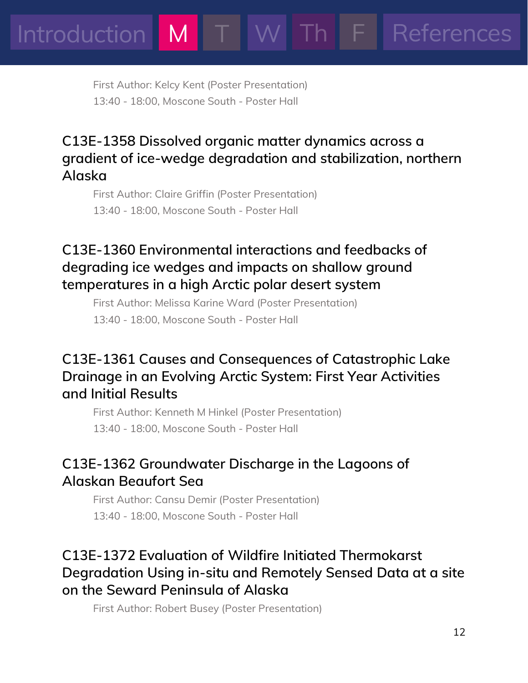#### References Introduction M

First Author: Kelcy Kent (Poster Presentation) 13:40 - 18:00, Moscone South - Poster Hall

#### **C13E-1358 Dissolved organic matter dynamics across a gradient of ice-wedge degradation and stabilization, northern Alaska**

First Author: Claire Griffin (Poster Presentation) 13:40 - 18:00, Moscone South - Poster Hall

#### **C13E-1360 Environmental interactions and feedbacks of degrading ice wedges and impacts on shallow ground temperatures in a high Arctic polar desert system**

First Author: Melissa Karine Ward (Poster Presentation)

13:40 - 18:00, Moscone South - Poster Hall

#### **C13E-1361 Causes and Consequences of Catastrophic Lake Drainage in an Evolving Arctic System: First Year Activities and Initial Results**

First Author: Kenneth M Hinkel (Poster Presentation) 13:40 - 18:00, Moscone South - Poster Hall

#### **C13E-1362 Groundwater Discharge in the Lagoons of Alaskan Beaufort Sea**

First Author: Cansu Demir (Poster Presentation) 13:40 - 18:00, Moscone South - Poster Hall

#### **C13E-1372 Evaluation of Wildfire Initiated Thermokarst Degradation Using in-situ and Remotely Sensed Data at a site on the Seward Peninsula of Alaska**

First Author: Robert Busey (Poster Presentation)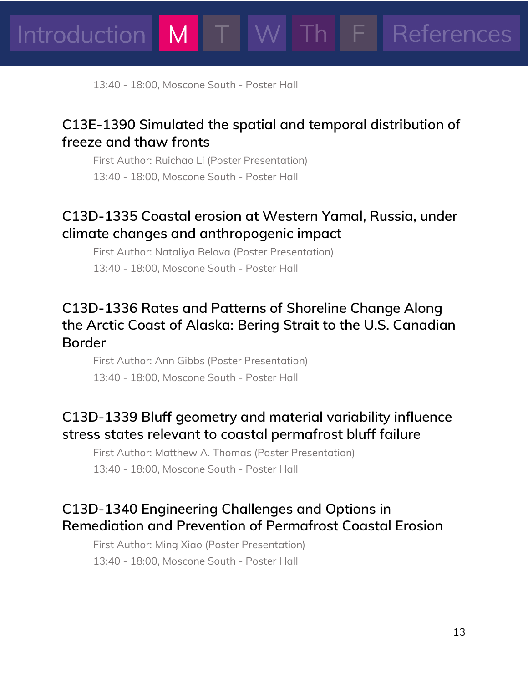13:40 - 18:00, Moscone South - Poster Hall

#### **C13E-1390 Simulated the spatial and temporal distribution of freeze and thaw fronts**

First Author: Ruichao Li (Poster Presentation) 13:40 - 18:00, Moscone South - Poster Hall

#### **C13D-1335 Coastal erosion at Western Yamal, Russia, under climate changes and anthropogenic impact**

First Author: Nataliya Belova (Poster Presentation) 13:40 - 18:00, Moscone South - Poster Hall

#### **C13D-1336 Rates and Patterns of Shoreline Change Along the Arctic Coast of Alaska: Bering Strait to the U.S. Canadian Border**

First Author: Ann Gibbs (Poster Presentation) 13:40 - 18:00, Moscone South - Poster Hall

#### **C13D-1339 Bluff geometry and material variability influence stress states relevant to coastal permafrost bluff failure**

First Author: Matthew A. Thomas (Poster Presentation) 13:40 - 18:00, Moscone South - Poster Hall

#### **C13D-1340 Engineering Challenges and Options in Remediation and Prevention of Permafrost Coastal Erosion**

First Author: Ming Xiao (Poster Presentation) 13:40 - 18:00, Moscone South - Poster Hall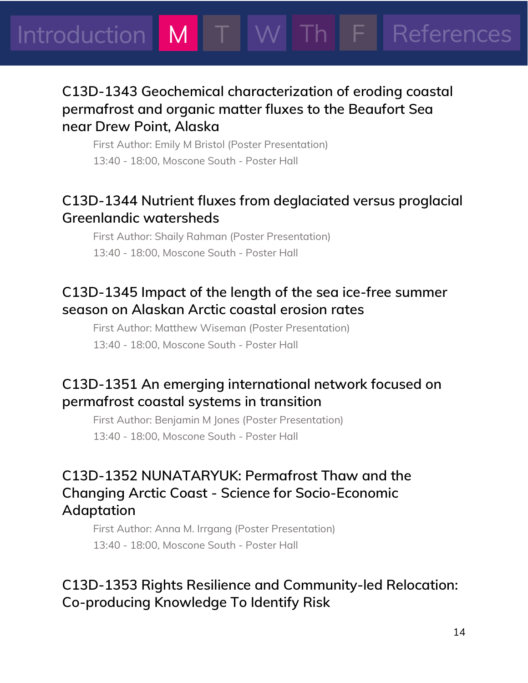References M

#### **C13D-1343 Geochemical characterization of eroding coastal permafrost and organic matter fluxes to the Beaufort Sea near Drew Point, Alaska**

First Author: Emily M Bristol (Poster Presentation) 13:40 - 18:00, Moscone South - Poster Hall

Introduction

#### **C13D-1344 Nutrient fluxes from deglaciated versus proglacial Greenlandic watersheds**

First Author: Shaily Rahman (Poster Presentation) 13:40 - 18:00, Moscone South - Poster Hall

#### **C13D-1345 Impact of the length of the sea ice-free summer season on Alaskan Arctic coastal erosion rates**

First Author: Matthew Wiseman (Poster Presentation) 13:40 - 18:00, Moscone South - Poster Hall

#### **C13D-1351 An emerging international network focused on permafrost coastal systems in transition**

First Author: Benjamin M Jones (Poster Presentation) 13:40 - 18:00, Moscone South - Poster Hall

#### **C13D-1352 NUNATARYUK: Permafrost Thaw and the Changing Arctic Coast - Science for Socio-Economic Adaptation**

First Author: Anna M. Irrgang (Poster Presentation) 13:40 - 18:00, Moscone South - Poster Hall

## **C13D-1353 Rights Resilience and Community-led Relocation: Co-producing Knowledge To Identify Risk**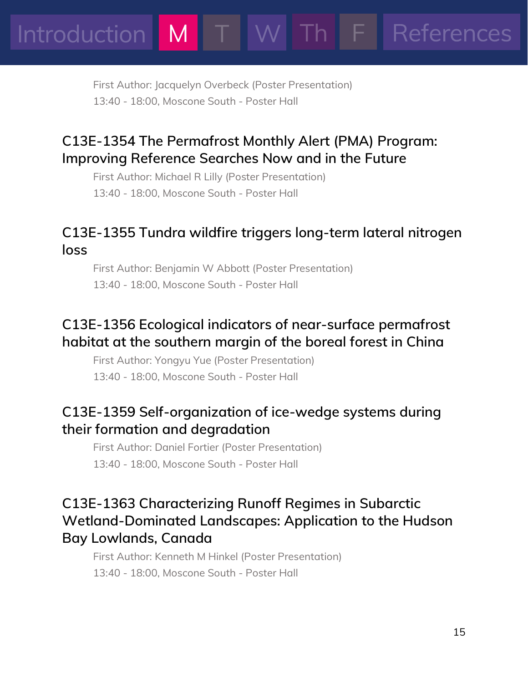> First Author: Jacquelyn Overbeck (Poster Presentation) 13:40 - 18:00, Moscone South - Poster Hall

#### **C13E-1354 The Permafrost Monthly Alert (PMA) Program: Improving Reference Searches Now and in the Future**

First Author: Michael R Lilly (Poster Presentation) 13:40 - 18:00, Moscone South - Poster Hall

#### **C13E-1355 Tundra wildfire triggers long-term lateral nitrogen loss**

First Author: Benjamin W Abbott (Poster Presentation) 13:40 - 18:00, Moscone South - Poster Hall

## **C13E-1356 Ecological indicators of near-surface permafrost habitat at the southern margin of the boreal forest in China**

First Author: Yongyu Yue (Poster Presentation) 13:40 - 18:00, Moscone South - Poster Hall

#### **C13E-1359 Self-organization of ice-wedge systems during their formation and degradation**

First Author: Daniel Fortier (Poster Presentation) 13:40 - 18:00, Moscone South - Poster Hall

#### **C13E-1363 Characterizing Runoff Regimes in Subarctic Wetland-Dominated Landscapes: Application to the Hudson Bay Lowlands, Canada**

First Author: Kenneth M Hinkel (Poster Presentation) 13:40 - 18:00, Moscone South - Poster Hall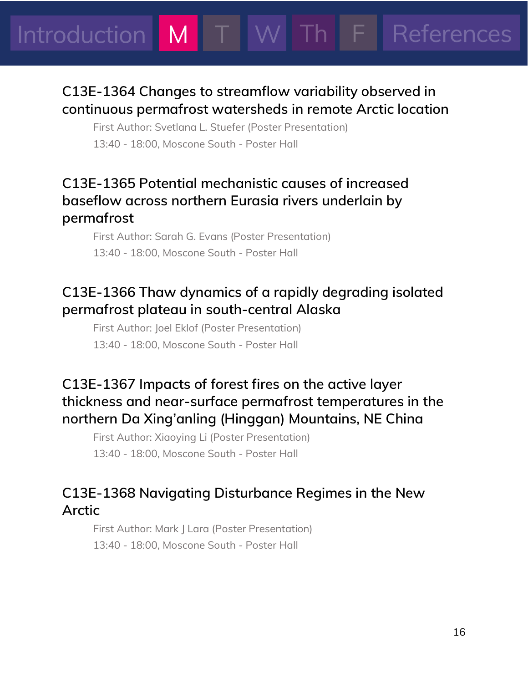#### **C13E-1364 Changes to streamflow variability observed in continuous permafrost watersheds in remote Arctic location**

First Author: Svetlana L. Stuefer (Poster Presentation) 13:40 - 18:00, Moscone South - Poster Hall

#### **C13E-1365 Potential mechanistic causes of increased baseflow across northern Eurasia rivers underlain by permafrost**

First Author: Sarah G. Evans (Poster Presentation) 13:40 - 18:00, Moscone South - Poster Hall

#### **C13E-1366 Thaw dynamics of a rapidly degrading isolated permafrost plateau in south-central Alaska**

First Author: Joel Eklof (Poster Presentation) 13:40 - 18:00, Moscone South - Poster Hall

#### **C13E-1367 Impacts of forest fires on the active layer thickness and near-surface permafrost temperatures in the northern Da Xing'anling (Hinggan) Mountains, NE China**

First Author: Xiaoying Li (Poster Presentation) 13:40 - 18:00, Moscone South - Poster Hall

#### **C13E-1368 Navigating Disturbance Regimes in the New Arctic**

First Author: Mark J Lara (Poster Presentation) 13:40 - 18:00, Moscone South - Poster Hall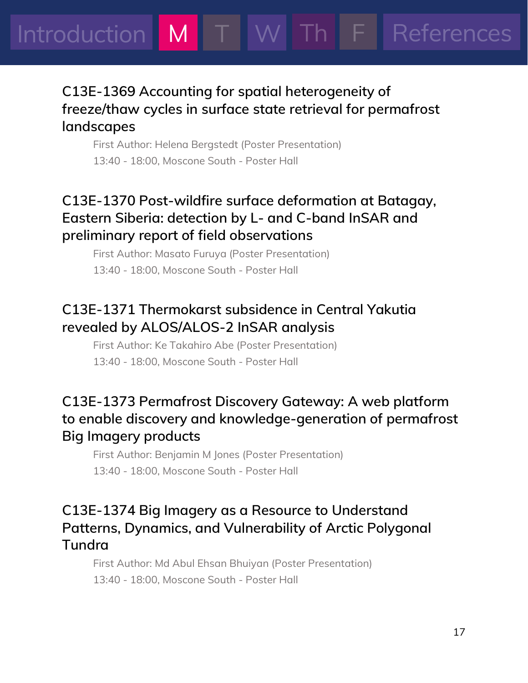#### **C13E-1369 Accounting for spatial heterogeneity of freeze/thaw cycles in surface state retrieval for permafrost landscapes**

First Author: Helena Bergstedt (Poster Presentation) 13:40 - 18:00, Moscone South - Poster Hall

#### **C13E-1370 Post-wildfire surface deformation at Batagay, Eastern Siberia: detection by L- and C-band InSAR and preliminary report of field observations**

First Author: Masato Furuya (Poster Presentation) 13:40 - 18:00, Moscone South - Poster Hall

#### **C13E-1371 Thermokarst subsidence in Central Yakutia revealed by ALOS/ALOS-2 InSAR analysis**

First Author: Ke Takahiro Abe (Poster Presentation) 13:40 - 18:00, Moscone South - Poster Hall

#### **C13E-1373 Permafrost Discovery Gateway: A web platform to enable discovery and knowledge-generation of permafrost Big Imagery products**

First Author: Benjamin M Jones (Poster Presentation) 13:40 - 18:00, Moscone South - Poster Hall

#### **C13E-1374 Big Imagery as a Resource to Understand Patterns, Dynamics, and Vulnerability of Arctic Polygonal Tundra**

First Author: Md Abul Ehsan Bhuiyan (Poster Presentation) 13:40 - 18:00, Moscone South - Poster Hall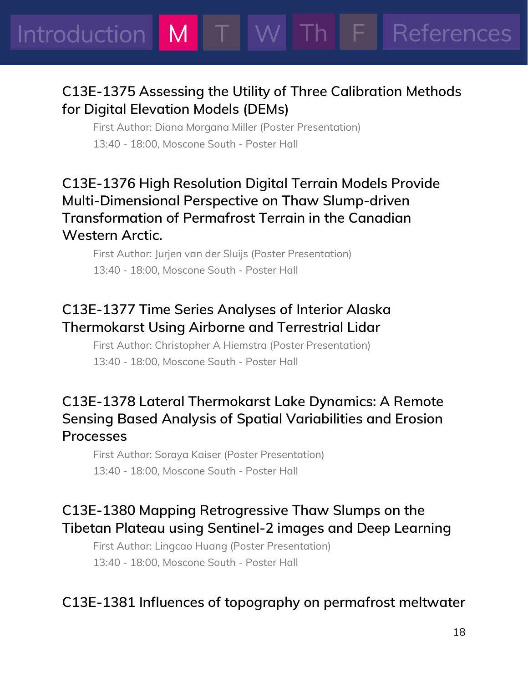**References** M

### **C13E-1375 Assessing the Utility of Three Calibration Methods for Digital Elevation Models (DEMs)**

First Author: Diana Morgana Miller (Poster Presentation) 13:40 - 18:00, Moscone South - Poster Hall

Introduction

#### **C13E-1376 High Resolution Digital Terrain Models Provide Multi-Dimensional Perspective on Thaw Slump-driven Transformation of Permafrost Terrain in the Canadian Western Arctic.**

First Author: Jurjen van der Sluijs (Poster Presentation) 13:40 - 18:00, Moscone South - Poster Hall

#### **C13E-1377 Time Series Analyses of Interior Alaska Thermokarst Using Airborne and Terrestrial Lidar**

First Author: Christopher A Hiemstra (Poster Presentation) 13:40 - 18:00, Moscone South - Poster Hall

#### **C13E-1378 Lateral Thermokarst Lake Dynamics: A Remote Sensing Based Analysis of Spatial Variabilities and Erosion Processes**

First Author: Soraya Kaiser (Poster Presentation) 13:40 - 18:00, Moscone South - Poster Hall

#### **C13E-1380 Mapping Retrogressive Thaw Slumps on the Tibetan Plateau using Sentinel-2 images and Deep Learning**

First Author: Lingcao Huang (Poster Presentation) 13:40 - 18:00, Moscone South - Poster Hall

#### **C13E-1381 Influences of topography on permafrost meltwater**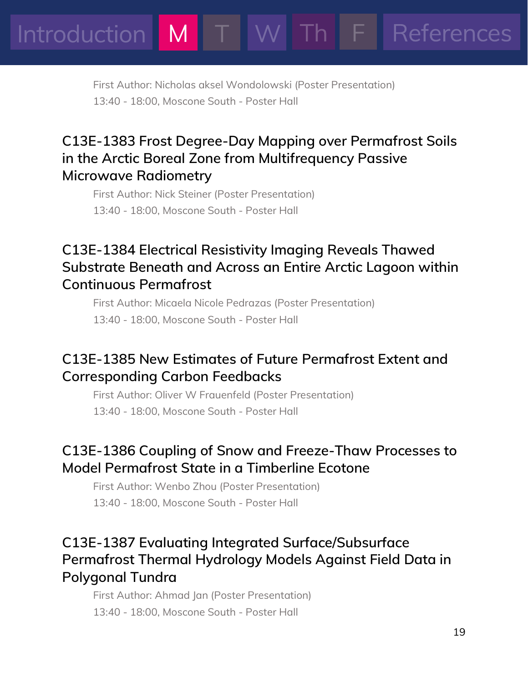First Author: Nicholas aksel Wondolowski (Poster Presentation) 13:40 - 18:00, Moscone South - Poster Hall

#### **C13E-1383 Frost Degree-Day Mapping over Permafrost Soils in the Arctic Boreal Zone from Multifrequency Passive Microwave Radiometry**

First Author: Nick Steiner (Poster Presentation) 13:40 - 18:00, Moscone South - Poster Hall

M

Introduction

#### **C13E-1384 Electrical Resistivity Imaging Reveals Thawed Substrate Beneath and Across an Entire Arctic Lagoon within Continuous Permafrost**

First Author: Micaela Nicole Pedrazas (Poster Presentation) 13:40 - 18:00, Moscone South - Poster Hall

#### **C13E-1385 New Estimates of Future Permafrost Extent and Corresponding Carbon Feedbacks**

First Author: Oliver W Frauenfeld (Poster Presentation) 13:40 - 18:00, Moscone South - Poster Hall

#### **C13E-1386 Coupling of Snow and Freeze-Thaw Processes to Model Permafrost State in a Timberline Ecotone**

First Author: Wenbo Zhou (Poster Presentation) 13:40 - 18:00, Moscone South - Poster Hall

#### **C13E-1387 Evaluating Integrated Surface/Subsurface Permafrost Thermal Hydrology Models Against Field Data in Polygonal Tundra**

First Author: Ahmad Jan (Poster Presentation) 13:40 - 18:00, Moscone South - Poster Hall

References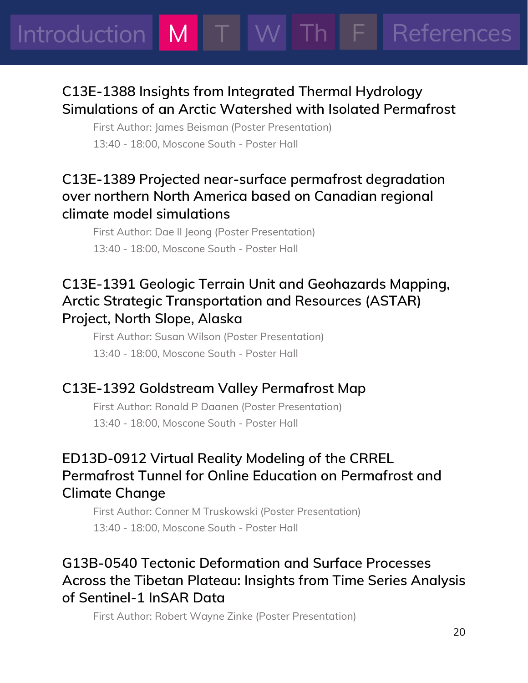**References** Introduction M

#### **C13E-1388 Insights from Integrated Thermal Hydrology Simulations of an Arctic Watershed with Isolated Permafrost**

First Author: James Beisman (Poster Presentation) 13:40 - 18:00, Moscone South - Poster Hall

#### **C13E-1389 Projected near-surface permafrost degradation over northern North America based on Canadian regional climate model simulations**

First Author: Dae Il Jeong (Poster Presentation) 13:40 - 18:00, Moscone South - Poster Hall

## **C13E-1391 Geologic Terrain Unit and Geohazards Mapping, Arctic Strategic Transportation and Resources (ASTAR) Project, North Slope, Alaska**

First Author: Susan Wilson (Poster Presentation) 13:40 - 18:00, Moscone South - Poster Hall

#### **C13E-1392 Goldstream Valley Permafrost Map**

First Author: Ronald P Daanen (Poster Presentation) 13:40 - 18:00, Moscone South - Poster Hall

## **ED13D-0912 Virtual Reality Modeling of the CRREL Permafrost Tunnel for Online Education on Permafrost and Climate Change**

First Author: Conner M Truskowski (Poster Presentation) 13:40 - 18:00, Moscone South - Poster Hall

#### **G13B-0540 Tectonic Deformation and Surface Processes Across the Tibetan Plateau: Insights from Time Series Analysis of Sentinel-1 InSAR Data**

First Author: Robert Wayne Zinke (Poster Presentation)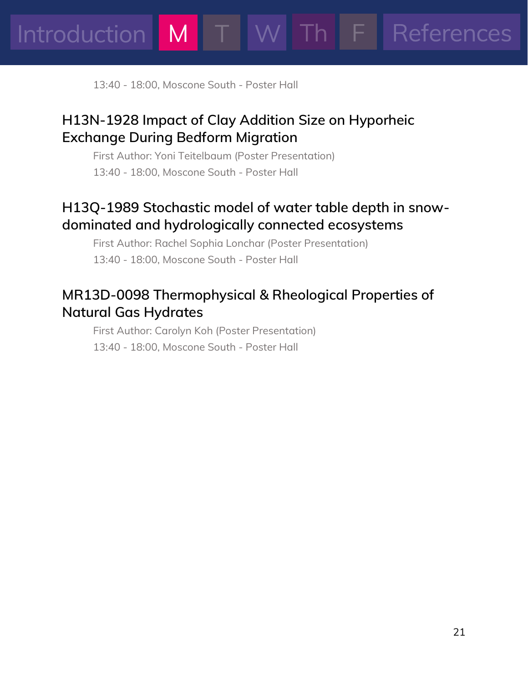#### References Introduction M

13:40 - 18:00, Moscone South - Poster Hall

#### **H13N-1928 Impact of Clay Addition Size on Hyporheic Exchange During Bedform Migration**

First Author: Yoni Teitelbaum (Poster Presentation) 13:40 - 18:00, Moscone South - Poster Hall

#### **H13Q-1989 Stochastic model of water table depth in snowdominated and hydrologically connected ecosystems**

First Author: Rachel Sophia Lonchar (Poster Presentation) 13:40 - 18:00, Moscone South - Poster Hall

#### **MR13D-0098 Thermophysical & Rheological Properties of Natural Gas Hydrates**

First Author: Carolyn Koh (Poster Presentation) 13:40 - 18:00, Moscone South - Poster Hall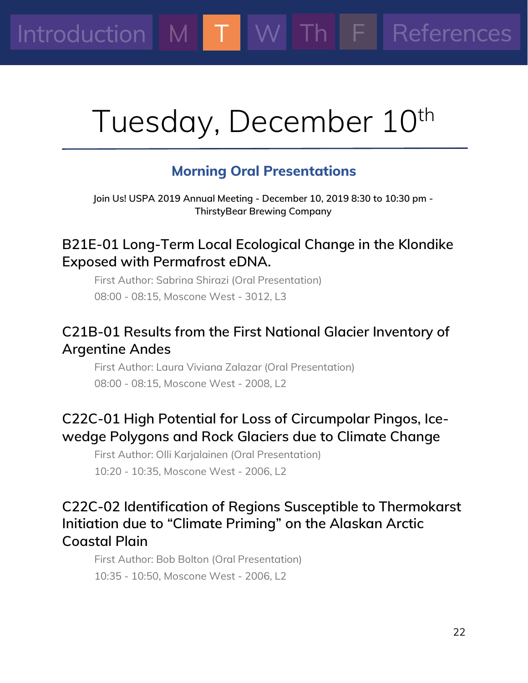TIntroduction | M References

## <span id="page-21-0"></span>Tuesday, December 10th

#### **Morning Oral Presentations**

<span id="page-21-1"></span>**Join Us! USPA 2019 Annual Meeting - December 10, 2019 8:30 to 10:30 pm - ThirstyBear Brewing Company**

#### **B21E-01 Long-Term Local Ecological Change in the Klondike Exposed with Permafrost eDNA.**

 First Author: Sabrina Shirazi (Oral Presentation) 08:00 - 08:15, Moscone West - 3012, L3

#### **C21B-01 Results from the First National Glacier Inventory of Argentine Andes**

 First Author: Laura Viviana Zalazar (Oral Presentation) 08:00 - 08:15, Moscone West - 2008, L2

#### **C22C-01 High Potential for Loss of Circumpolar Pingos, Icewedge Polygons and Rock Glaciers due to Climate Change**

 First Author: Olli Karjalainen (Oral Presentation) 10:20 - 10:35, Moscone West - 2006, L2

#### **C22C-02 Identification of Regions Susceptible to Thermokarst Initiation due to "Climate Priming" on the Alaskan Arctic Coastal Plain**

 First Author: Bob Bolton (Oral Presentation) 10:35 - 10:50, Moscone West - 2006, L2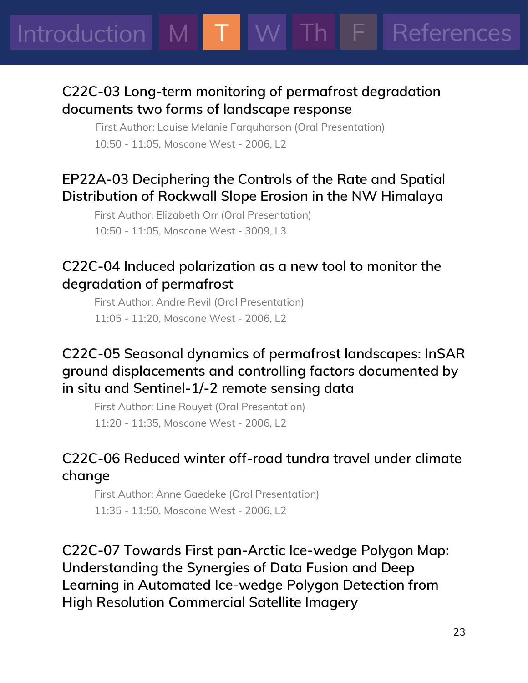T**References Introduction** 

#### **C22C-03 Long-term monitoring of permafrost degradation documents two forms of landscape response**

First Author: Louise Melanie Farquharson (Oral Presentation) 10:50 - 11:05, Moscone West - 2006, L2

#### **EP22A-03 Deciphering the Controls of the Rate and Spatial Distribution of Rockwall Slope Erosion in the NW Himalaya**

 First Author: Elizabeth Orr (Oral Presentation) 10:50 - 11:05, Moscone West - 3009, L3

#### **C22C-04 Induced polarization as a new tool to monitor the degradation of permafrost**

 First Author: Andre Revil (Oral Presentation) 11:05 - 11:20, Moscone West - 2006, L2

#### **C22C-05 Seasonal dynamics of permafrost landscapes: InSAR ground displacements and controlling factors documented by in situ and Sentinel-1/-2 remote sensing data**

 First Author: Line Rouyet (Oral Presentation) 11:20 - 11:35, Moscone West - 2006, L2

#### **C22C-06 Reduced winter off-road tundra travel under climate change**

 First Author: Anne Gaedeke (Oral Presentation) 11:35 - 11:50, Moscone West - 2006, L2

**C22C-07 Towards First pan-Arctic Ice-wedge Polygon Map: Understanding the Synergies of Data Fusion and Deep Learning in Automated Ice-wedge Polygon Detection from High Resolution Commercial Satellite Imagery**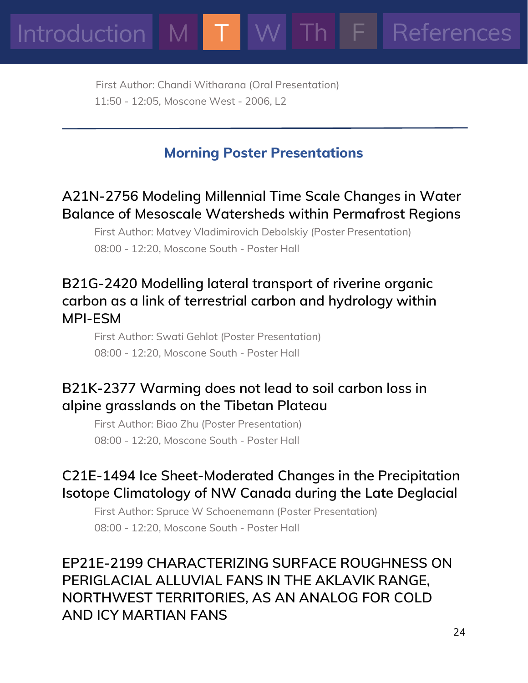First Author: Chandi Witharana (Oral Presentation) 11:50 - 12:05, Moscone West - 2006, L2

Ī

#### **Morning Poster Presentations**

#### <span id="page-23-0"></span>**A21N-2756 Modeling Millennial Time Scale Changes in Water Balance of Mesoscale Watersheds within Permafrost Regions**

 First Author: Matvey Vladimirovich Debolskiy (Poster Presentation) 08:00 - 12:20, Moscone South - Poster Hall

#### **B21G-2420 Modelling lateral transport of riverine organic carbon as a link of terrestrial carbon and hydrology within MPI-ESM**

 First Author: Swati Gehlot (Poster Presentation) 08:00 - 12:20, Moscone South - Poster Hall

#### **B21K-2377 Warming does not lead to soil carbon loss in alpine grasslands on the Tibetan Plateau**

 First Author: Biao Zhu (Poster Presentation) 08:00 - 12:20, Moscone South - Poster Hall

#### **C21E-1494 Ice Sheet-Moderated Changes in the Precipitation Isotope Climatology of NW Canada during the Late Deglacial**

 First Author: Spruce W Schoenemann (Poster Presentation) 08:00 - 12:20, Moscone South - Poster Hall

#### **EP21E-2199 CHARACTERIZING SURFACE ROUGHNESS ON PERIGLACIAL ALLUVIAL FANS IN THE AKLAVIK RANGE, NORTHWEST TERRITORIES, AS AN ANALOG FOR COLD AND ICY MARTIAN FANS**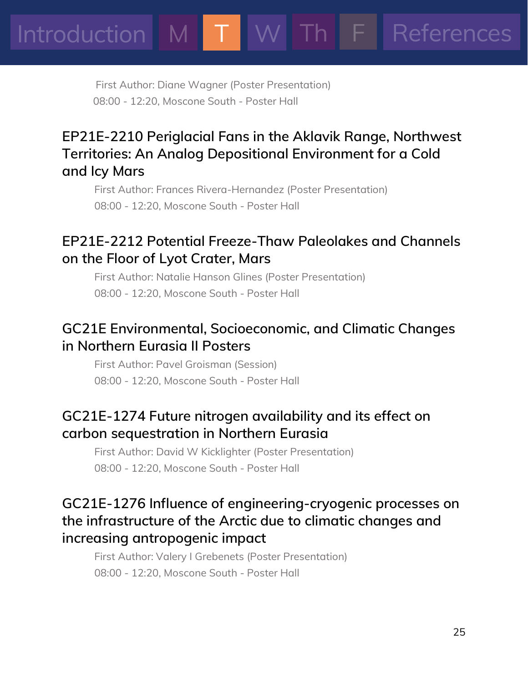#### References TIntroduction I M

First Author: Diane Wagner (Poster Presentation) 08:00 - 12:20, Moscone South - Poster Hall

Ϊ

#### **EP21E-2210 Periglacial Fans in the Aklavik Range, Northwest Territories: An Analog Depositional Environment for a Cold and Icy Mars**

 First Author: Frances Rivera-Hernandez (Poster Presentation) 08:00 - 12:20, Moscone South - Poster Hall

#### **EP21E-2212 Potential Freeze-Thaw Paleolakes and Channels on the Floor of Lyot Crater, Mars**

 First Author: Natalie Hanson Glines (Poster Presentation) 08:00 - 12:20, Moscone South - Poster Hall

#### **GC21E Environmental, Socioeconomic, and Climatic Changes in Northern Eurasia II Posters**

 First Author: Pavel Groisman (Session) 08:00 - 12:20, Moscone South - Poster Hall

#### **GC21E-1274 Future nitrogen availability and its effect on carbon sequestration in Northern Eurasia**

 First Author: David W Kicklighter (Poster Presentation) 08:00 - 12:20, Moscone South - Poster Hall

#### **GC21E-1276 Influence of engineering-cryogenic processes on the infrastructure of the Arctic due to climatic changes and increasing antropogenic impact**

 First Author: Valery I Grebenets (Poster Presentation) 08:00 - 12:20, Moscone South - Poster Hall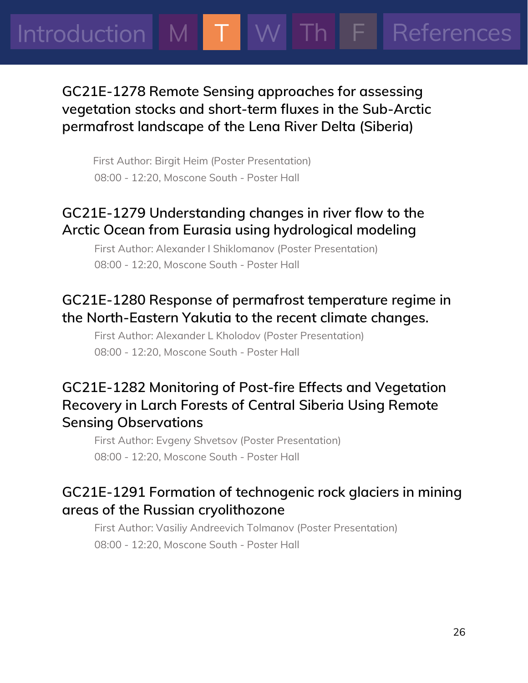T**References Introduction** 

#### **GC21E-1278 Remote Sensing approaches for assessing vegetation stocks and short-term fluxes in the Sub-Arctic permafrost landscape of the Lena River Delta (Siberia)**

First Author: Birgit Heim (Poster Presentation) 08:00 - 12:20, Moscone South - Poster Hall

#### **GC21E-1279 Understanding changes in river flow to the Arctic Ocean from Eurasia using hydrological modeling**

 First Author: Alexander I Shiklomanov (Poster Presentation) 08:00 - 12:20, Moscone South - Poster Hall

#### **GC21E-1280 Response of permafrost temperature regime in the North-Eastern Yakutia to the recent climate changes.**

 First Author: Alexander L Kholodov (Poster Presentation) 08:00 - 12:20, Moscone South - Poster Hall

#### **GC21E-1282 Monitoring of Post-fire Effects and Vegetation Recovery in Larch Forests of Central Siberia Using Remote Sensing Observations**

 First Author: Evgeny Shvetsov (Poster Presentation) 08:00 - 12:20, Moscone South - Poster Hall

#### **GC21E-1291 Formation of technogenic rock glaciers in mining areas of the Russian cryolithozone**

 First Author: Vasiliy Andreevich Tolmanov (Poster Presentation) 08:00 - 12:20, Moscone South - Poster Hall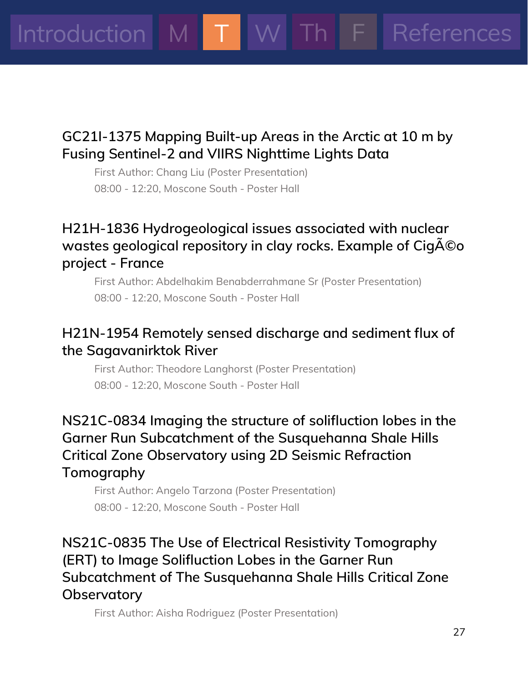#### TReferences **Introduction**

#### **GC21I-1375 Mapping Built-up Areas in the Arctic at 10 m by Fusing Sentinel-2 and VIIRS Nighttime Lights Data**

 First Author: Chang Liu (Poster Presentation) 08:00 - 12:20, Moscone South - Poster Hall

Ϊ

#### **H21H-1836 Hydrogeological issues associated with nuclear**  wastes geological repository in clay rocks. Example of CigA©o **project - France**

 First Author: Abdelhakim Benabderrahmane Sr (Poster Presentation) 08:00 - 12:20, Moscone South - Poster Hall

#### **H21N-1954 Remotely sensed discharge and sediment flux of the Sagavanirktok River**

 First Author: Theodore Langhorst (Poster Presentation) 08:00 - 12:20, Moscone South - Poster Hall

#### **NS21C-0834 Imaging the structure of solifluction lobes in the Garner Run Subcatchment of the Susquehanna Shale Hills Critical Zone Observatory using 2D Seismic Refraction Tomography**

 First Author: Angelo Tarzona (Poster Presentation) 08:00 - 12:20, Moscone South - Poster Hall

#### **NS21C-0835 The Use of Electrical Resistivity Tomography (ERT) to Image Solifluction Lobes in the Garner Run Subcatchment of The Susquehanna Shale Hills Critical Zone Observatory**

First Author: Aisha Rodriguez (Poster Presentation)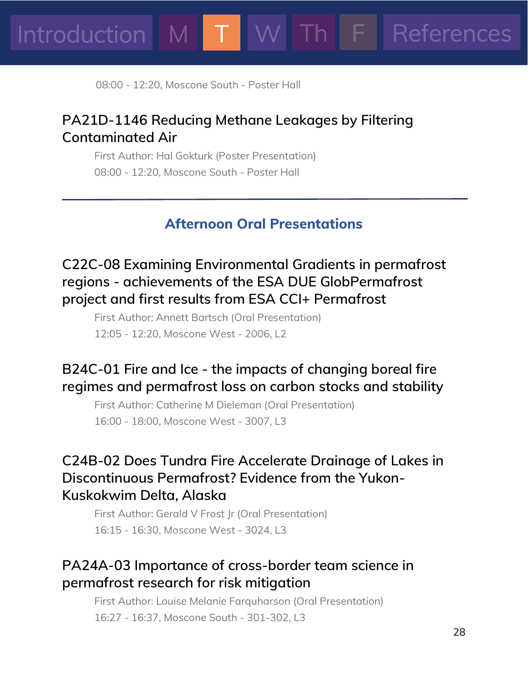08:00 - 12:20, Moscone South - Poster Hall

I

#### **PA21D-1146 Reducing Methane Leakages by Filtering Contaminated Air**

 First Author: Hal Gokturk (Poster Presentation) 08:00 - 12:20, Moscone South - Poster Hall

#### **Afternoon Oral Presentations**

#### <span id="page-27-0"></span>**C22C-08 Examining Environmental Gradients in permafrost regions - achievements of the ESA DUE GlobPermafrost project and first results from ESA CCI+ Permafrost**

 First Author: Annett Bartsch (Oral Presentation) 12:05 - 12:20, Moscone West - 2006, L2

#### **B24C-01 Fire and Ice - the impacts of changing boreal fire regimes and permafrost loss on carbon stocks and stability**

 First Author: Catherine M Dieleman (Oral Presentation) 16:00 - 18:00, Moscone West - 3007, L3

#### **C24B-02 Does Tundra Fire Accelerate Drainage of Lakes in Discontinuous Permafrost? Evidence from the Yukon-Kuskokwim Delta, Alaska**

 First Author: Gerald V Frost Jr (Oral Presentation) 16:15 - 16:30, Moscone West - 3024, L3

#### **PA24A-03 Importance of cross-border team science in permafrost research for risk mitigation**

 First Author: Louise Melanie Farquharson (Oral Presentation) 16:27 - 16:37, Moscone South - 301-302, L3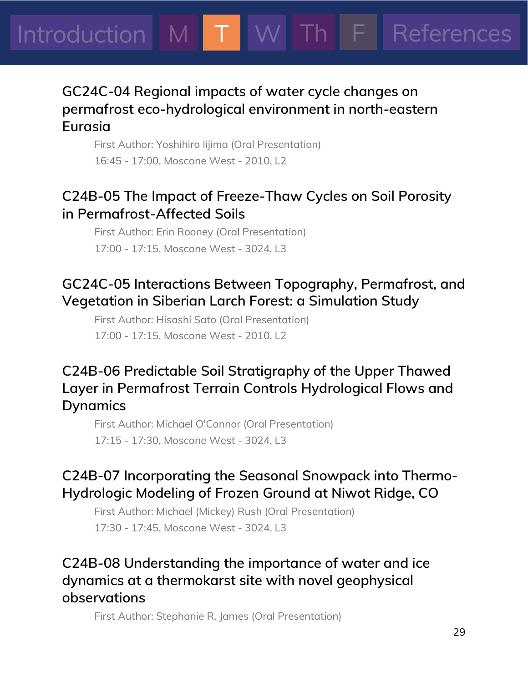#### TReferences **Introduction**  $\blacksquare$

#### **GC24C-04 Regional impacts of water cycle changes on permafrost eco-hydrological environment in north-eastern Eurasia**

 First Author: Yoshihiro Iijima (Oral Presentation) 16:45 - 17:00, Moscone West - 2010, L2

#### **C24B-05 The Impact of Freeze-Thaw Cycles on Soil Porosity in Permafrost-Affected Soils**

 First Author: Erin Rooney (Oral Presentation) 17:00 - 17:15, Moscone West - 3024, L3

## **GC24C-05 Interactions Between Topography, Permafrost, and Vegetation in Siberian Larch Forest: a Simulation Study**

 First Author: Hisashi Sato (Oral Presentation) 17:00 - 17:15, Moscone West - 2010, L2

## **C24B-06 Predictable Soil Stratigraphy of the Upper Thawed Layer in Permafrost Terrain Controls Hydrological Flows and Dynamics**

 First Author: Michael O'Connor (Oral Presentation) 17:15 - 17:30, Moscone West - 3024, L3

#### **C24B-07 Incorporating the Seasonal Snowpack into Thermo-Hydrologic Modeling of Frozen Ground at Niwot Ridge, CO**

 First Author: Michael (Mickey) Rush (Oral Presentation) 17:30 - 17:45, Moscone West - 3024, L3

#### **C24B-08 Understanding the importance of water and ice dynamics at a thermokarst site with novel geophysical observations**

First Author: Stephanie R. James (Oral Presentation)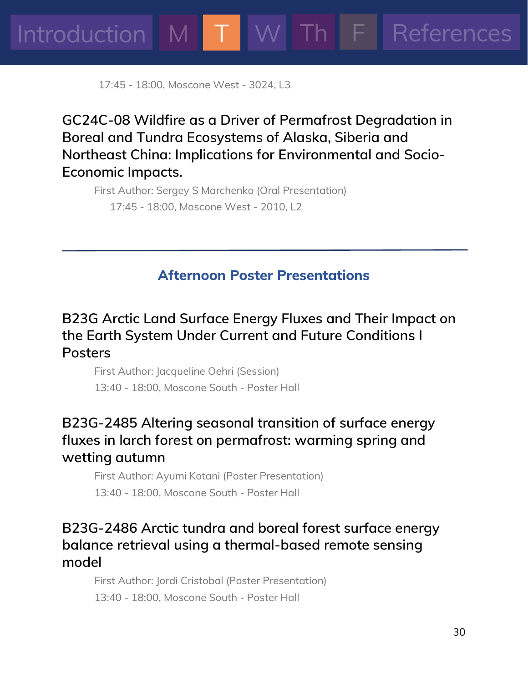17:45 - 18:00, Moscone West - 3024, L3

Ϊ

## **GC24C-08 Wildfire as a Driver of Permafrost Degradation in Boreal and Tundra Ecosystems of Alaska, Siberia and Northeast China: Implications for Environmental and Socio-Economic Impacts.**

 First Author: Sergey S Marchenko (Oral Presentation) 17:45 - 18:00, Moscone West - 2010, L2

#### **Afternoon Poster Presentations**

#### <span id="page-29-0"></span>**B23G Arctic Land Surface Energy Fluxes and Their Impact on the Earth System Under Current and Future Conditions I Posters**

 First Author: Jacqueline Oehri (Session) 13:40 - 18:00, Moscone South - Poster Hall

#### **B23G-2485 Altering seasonal transition of surface energy fluxes in larch forest on permafrost: warming spring and wetting autumn**

 First Author: Ayumi Kotani (Poster Presentation) 13:40 - 18:00, Moscone South - Poster Hall

#### **B23G-2486 Arctic tundra and boreal forest surface energy balance retrieval using a thermal-based remote sensing model**

 First Author: Jordi Cristobal (Poster Presentation) 13:40 - 18:00, Moscone South - Poster Hall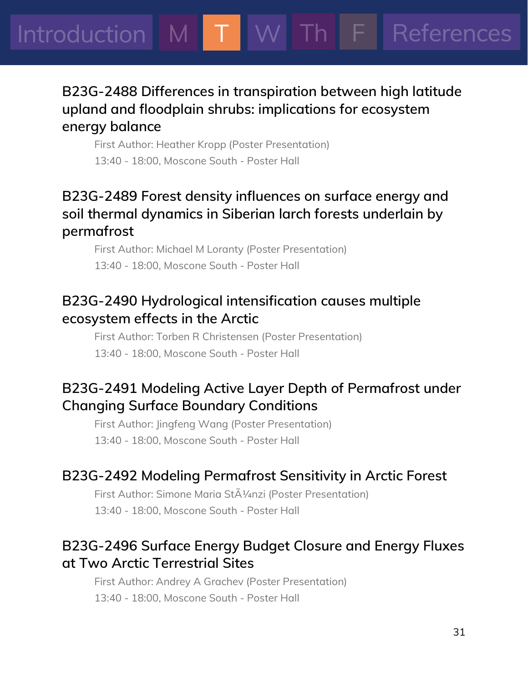#### TReferences Introduction | M

#### **B23G-2488 Differences in transpiration between high latitude upland and floodplain shrubs: implications for ecosystem energy balance**

 First Author: Heather Kropp (Poster Presentation) 13:40 - 18:00, Moscone South - Poster Hall

#### **B23G-2489 Forest density influences on surface energy and soil thermal dynamics in Siberian larch forests underlain by permafrost**

 First Author: Michael M Loranty (Poster Presentation) 13:40 - 18:00, Moscone South - Poster Hall

#### **B23G-2490 Hydrological intensification causes multiple ecosystem effects in the Arctic**

 First Author: Torben R Christensen (Poster Presentation) 13:40 - 18:00, Moscone South - Poster Hall

## **B23G-2491 Modeling Active Layer Depth of Permafrost under Changing Surface Boundary Conditions**

 First Author: Jingfeng Wang (Poster Presentation) 13:40 - 18:00, Moscone South - Poster Hall

#### **B23G-2492 Modeling Permafrost Sensitivity in Arctic Forest**

First Author: Simone Maria Stünzi (Poster Presentation) 13:40 - 18:00, Moscone South - Poster Hall

#### **B23G-2496 Surface Energy Budget Closure and Energy Fluxes at Two Arctic Terrestrial Sites**

 First Author: Andrey A Grachev (Poster Presentation) 13:40 - 18:00, Moscone South - Poster Hall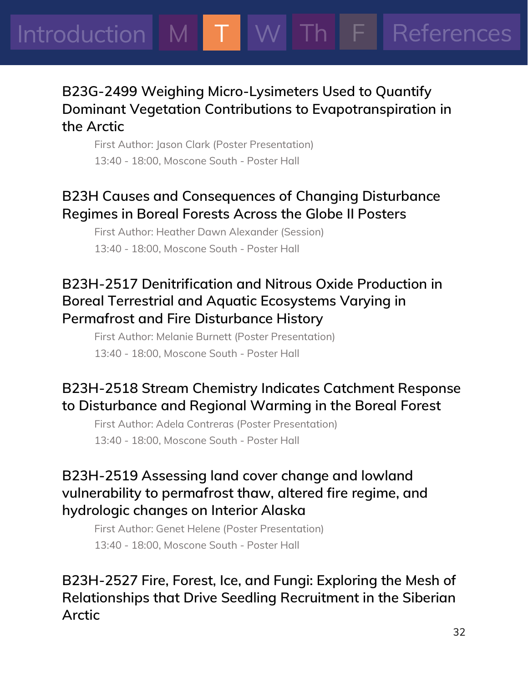#### T**References** Introduction I M

#### **B23G-2499 Weighing Micro-Lysimeters Used to Quantify Dominant Vegetation Contributions to Evapotranspiration in the Arctic**

 First Author: Jason Clark (Poster Presentation) 13:40 - 18:00, Moscone South - Poster Hall

#### **B23H Causes and Consequences of Changing Disturbance Regimes in Boreal Forests Across the Globe II Posters**

 First Author: Heather Dawn Alexander (Session) 13:40 - 18:00, Moscone South - Poster Hall

### **B23H-2517 Denitrification and Nitrous Oxide Production in Boreal Terrestrial and Aquatic Ecosystems Varying in Permafrost and Fire Disturbance History**

 First Author: Melanie Burnett (Poster Presentation) 13:40 - 18:00, Moscone South - Poster Hall

## **B23H-2518 Stream Chemistry Indicates Catchment Response to Disturbance and Regional Warming in the Boreal Forest**

 First Author: Adela Contreras (Poster Presentation) 13:40 - 18:00, Moscone South - Poster Hall

#### **B23H-2519 Assessing land cover change and lowland vulnerability to permafrost thaw, altered fire regime, and hydrologic changes on Interior Alaska**

 First Author: Genet Helene (Poster Presentation) 13:40 - 18:00, Moscone South - Poster Hall

## **B23H-2527 Fire, Forest, Ice, and Fungi: Exploring the Mesh of Relationships that Drive Seedling Recruitment in the Siberian Arctic**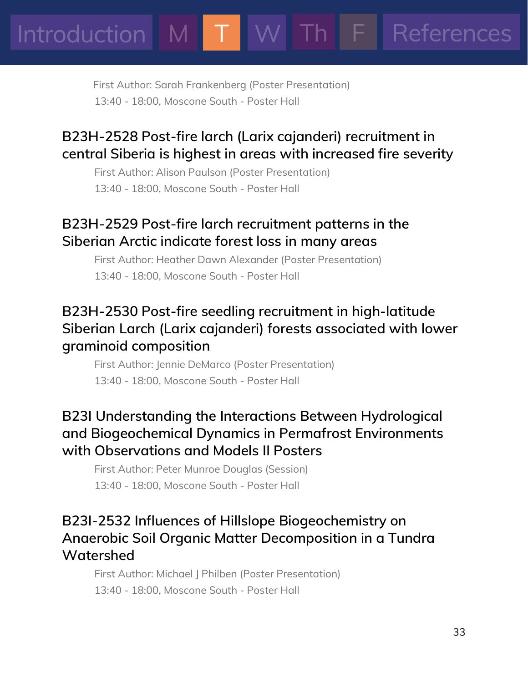#### T**References Introduction** I M

First Author: Sarah Frankenberg (Poster Presentation) 13:40 - 18:00, Moscone South - Poster Hall

Ϊ

#### **B23H-2528 Post-fire larch (Larix cajanderi) recruitment in central Siberia is highest in areas with increased fire severity**

 First Author: Alison Paulson (Poster Presentation) 13:40 - 18:00, Moscone South - Poster Hall

#### **B23H-2529 Post-fire larch recruitment patterns in the Siberian Arctic indicate forest loss in many areas**

 First Author: Heather Dawn Alexander (Poster Presentation) 13:40 - 18:00, Moscone South - Poster Hall

#### **B23H-2530 Post-fire seedling recruitment in high-latitude Siberian Larch (Larix cajanderi) forests associated with lower graminoid composition**

 First Author: Jennie DeMarco (Poster Presentation) 13:40 - 18:00, Moscone South - Poster Hall

#### **B23I Understanding the Interactions Between Hydrological and Biogeochemical Dynamics in Permafrost Environments with Observations and Models II Posters**

 First Author: Peter Munroe Douglas (Session) 13:40 - 18:00, Moscone South - Poster Hall

#### **B23I-2532 Influences of Hillslope Biogeochemistry on Anaerobic Soil Organic Matter Decomposition in a Tundra Watershed**

 First Author: Michael J Philben (Poster Presentation) 13:40 - 18:00, Moscone South - Poster Hall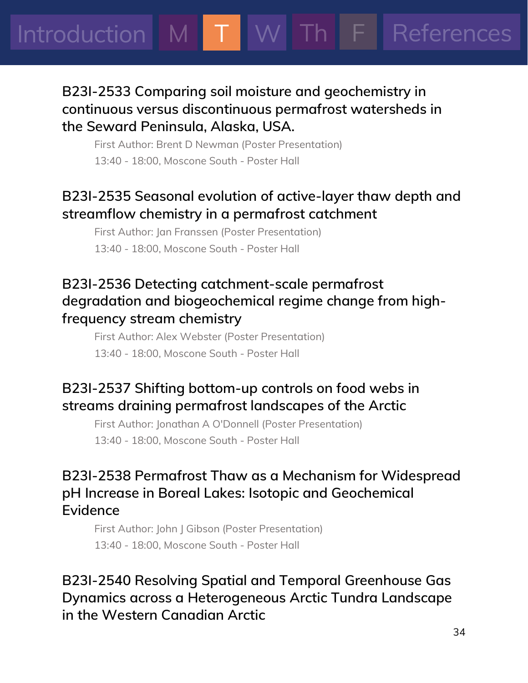T**References** Introduction M

#### **B23I-2533 Comparing soil moisture and geochemistry in continuous versus discontinuous permafrost watersheds in the Seward Peninsula, Alaska, USA.**

 First Author: Brent D Newman (Poster Presentation) 13:40 - 18:00, Moscone South - Poster Hall

#### **B23I-2535 Seasonal evolution of active-layer thaw depth and streamflow chemistry in a permafrost catchment**

 First Author: Jan Franssen (Poster Presentation) 13:40 - 18:00, Moscone South - Poster Hall

### **B23I-2536 Detecting catchment-scale permafrost degradation and biogeochemical regime change from highfrequency stream chemistry**

 First Author: Alex Webster (Poster Presentation) 13:40 - 18:00, Moscone South - Poster Hall

#### **B23I-2537 Shifting bottom-up controls on food webs in streams draining permafrost landscapes of the Arctic**

 First Author: Jonathan A O'Donnell (Poster Presentation) 13:40 - 18:00, Moscone South - Poster Hall

#### **B23I-2538 Permafrost Thaw as a Mechanism for Widespread pH Increase in Boreal Lakes: Isotopic and Geochemical Evidence**

 First Author: John J Gibson (Poster Presentation) 13:40 - 18:00, Moscone South - Poster Hall

#### **B23I-2540 Resolving Spatial and Temporal Greenhouse Gas Dynamics across a Heterogeneous Arctic Tundra Landscape in the Western Canadian Arctic**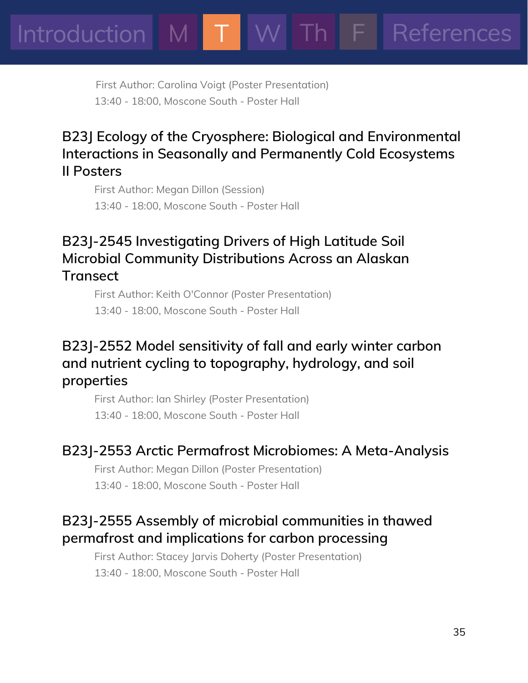#### T**References** Introduction

First Author: Carolina Voigt (Poster Presentation) 13:40 - 18:00, Moscone South - Poster Hall

Ϊ

#### **B23J Ecology of the Cryosphere: Biological and Environmental Interactions in Seasonally and Permanently Cold Ecosystems II Posters**

 First Author: Megan Dillon (Session) 13:40 - 18:00, Moscone South - Poster Hall

#### **B23J-2545 Investigating Drivers of High Latitude Soil Microbial Community Distributions Across an Alaskan Transect**

 First Author: Keith O'Connor (Poster Presentation) 13:40 - 18:00, Moscone South - Poster Hall

#### **B23J-2552 Model sensitivity of fall and early winter carbon and nutrient cycling to topography, hydrology, and soil properties**

 First Author: Ian Shirley (Poster Presentation) 13:40 - 18:00, Moscone South - Poster Hall

#### **B23J-2553 Arctic Permafrost Microbiomes: A Meta-Analysis**

 First Author: Megan Dillon (Poster Presentation) 13:40 - 18:00, Moscone South - Poster Hall

#### **B23J-2555 Assembly of microbial communities in thawed permafrost and implications for carbon processing**

 First Author: Stacey Jarvis Doherty (Poster Presentation) 13:40 - 18:00, Moscone South - Poster Hall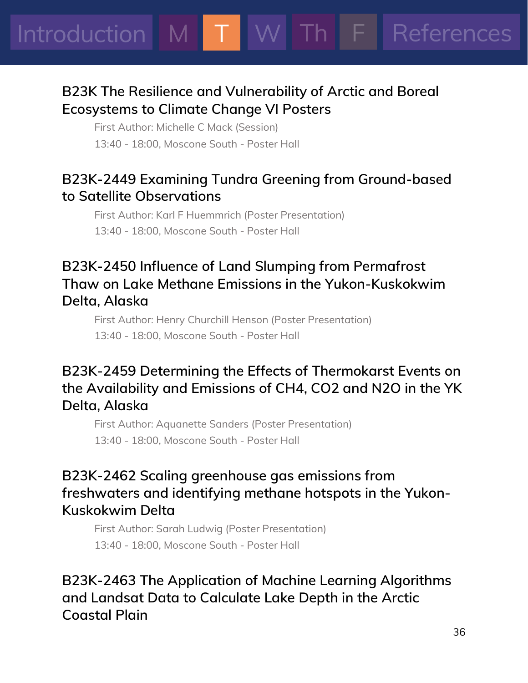## **B23K The Resilience and Vulnerability of Arctic and Boreal Ecosystems to Climate Change VI Posters**

 First Author: Michelle C Mack (Session) 13:40 - 18:00, Moscone South - Poster Hall

#### **B23K-2449 Examining Tundra Greening from Ground-based to Satellite Observations**

 First Author: Karl F Huemmrich (Poster Presentation) 13:40 - 18:00, Moscone South - Poster Hall

#### **B23K-2450 Influence of Land Slumping from Permafrost Thaw on Lake Methane Emissions in the Yukon-Kuskokwim Delta, Alaska**

 First Author: Henry Churchill Henson (Poster Presentation) 13:40 - 18:00, Moscone South - Poster Hall

## **B23K-2459 Determining the Effects of Thermokarst Events on the Availability and Emissions of CH4, CO2 and N2O in the YK Delta, Alaska**

 First Author: Aquanette Sanders (Poster Presentation) 13:40 - 18:00, Moscone South - Poster Hall

#### **B23K-2462 Scaling greenhouse gas emissions from freshwaters and identifying methane hotspots in the Yukon-Kuskokwim Delta**

 First Author: Sarah Ludwig (Poster Presentation) 13:40 - 18:00, Moscone South - Poster Hall

**B23K-2463 The Application of Machine Learning Algorithms and Landsat Data to Calculate Lake Depth in the Arctic Coastal Plain**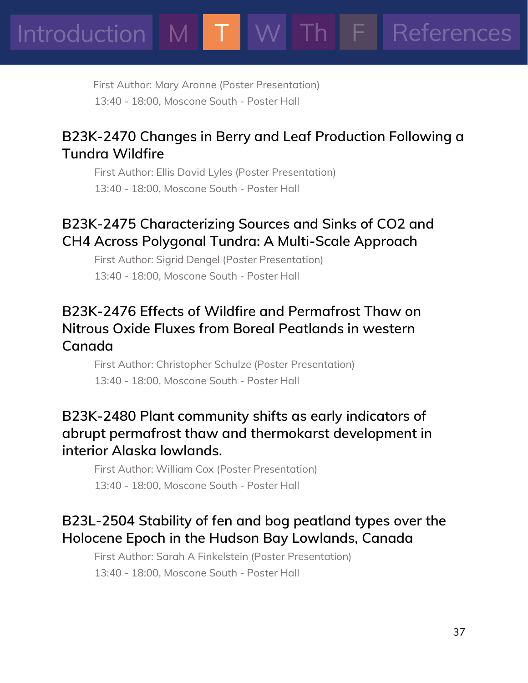#### References T**Introduction**

First Author: Mary Aronne (Poster Presentation) 13:40 - 18:00, Moscone South - Poster Hall

Ī

#### **B23K-2470 Changes in Berry and Leaf Production Following a Tundra Wildfire**

 First Author: Ellis David Lyles (Poster Presentation) 13:40 - 18:00, Moscone South - Poster Hall

#### **B23K-2475 Characterizing Sources and Sinks of CO2 and CH4 Across Polygonal Tundra: A Multi-Scale Approach**

 First Author: Sigrid Dengel (Poster Presentation) 13:40 - 18:00, Moscone South - Poster Hall

#### **B23K-2476 Effects of Wildfire and Permafrost Thaw on Nitrous Oxide Fluxes from Boreal Peatlands in western Canada**

 First Author: Christopher Schulze (Poster Presentation) 13:40 - 18:00, Moscone South - Poster Hall

#### **B23K-2480 Plant community shifts as early indicators of abrupt permafrost thaw and thermokarst development in interior Alaska lowlands.**

 First Author: William Cox (Poster Presentation) 13:40 - 18:00, Moscone South - Poster Hall

#### **B23L-2504 Stability of fen and bog peatland types over the Holocene Epoch in the Hudson Bay Lowlands, Canada**

 First Author: Sarah A Finkelstein (Poster Presentation) 13:40 - 18:00, Moscone South - Poster Hall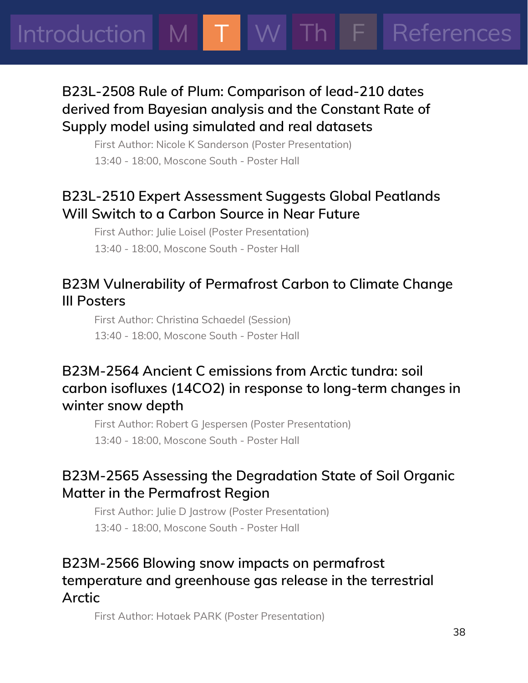TReferences Introduction I M

#### **B23L-2508 Rule of Plum: Comparison of lead-210 dates derived from Bayesian analysis and the Constant Rate of Supply model using simulated and real datasets**

 First Author: Nicole K Sanderson (Poster Presentation) 13:40 - 18:00, Moscone South - Poster Hall

#### **B23L-2510 Expert Assessment Suggests Global Peatlands Will Switch to a Carbon Source in Near Future**

 First Author: Julie Loisel (Poster Presentation) 13:40 - 18:00, Moscone South - Poster Hall

#### **B23M Vulnerability of Permafrost Carbon to Climate Change III Posters**

 First Author: Christina Schaedel (Session) 13:40 - 18:00, Moscone South - Poster Hall

#### **B23M-2564 Ancient C emissions from Arctic tundra: soil carbon isofluxes (14CO2) in response to long-term changes in winter snow depth**

 First Author: Robert G Jespersen (Poster Presentation) 13:40 - 18:00, Moscone South - Poster Hall

#### **B23M-2565 Assessing the Degradation State of Soil Organic Matter in the Permafrost Region**

 First Author: Julie D Jastrow (Poster Presentation) 13:40 - 18:00, Moscone South - Poster Hall

#### **B23M-2566 Blowing snow impacts on permafrost temperature and greenhouse gas release in the terrestrial Arctic**

First Author: Hotaek PARK (Poster Presentation)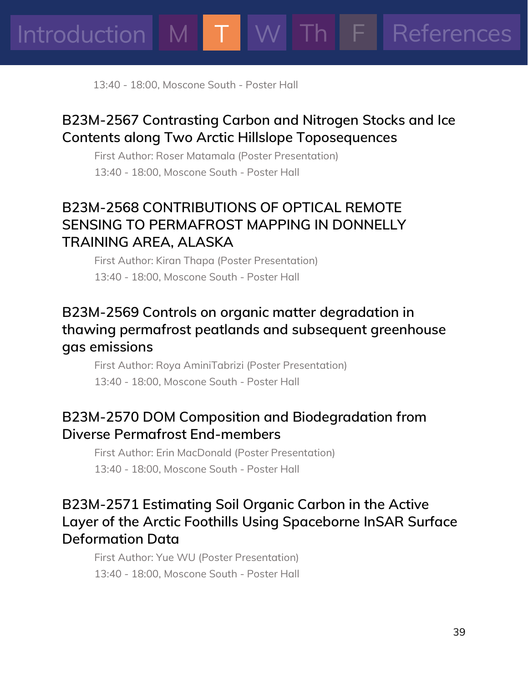TReferences Introduction

13:40 - 18:00, Moscone South - Poster Hall

#### **B23M-2567 Contrasting Carbon and Nitrogen Stocks and Ice Contents along Two Arctic Hillslope Toposequences**

 First Author: Roser Matamala (Poster Presentation) 13:40 - 18:00, Moscone South - Poster Hall

#### **B23M-2568 CONTRIBUTIONS OF OPTICAL REMOTE SENSING TO PERMAFROST MAPPING IN DONNELLY TRAINING AREA, ALASKA**

 First Author: Kiran Thapa (Poster Presentation) 13:40 - 18:00, Moscone South - Poster Hall

#### **B23M-2569 Controls on organic matter degradation in thawing permafrost peatlands and subsequent greenhouse gas emissions**

 First Author: Roya AminiTabrizi (Poster Presentation) 13:40 - 18:00, Moscone South - Poster Hall

#### **B23M-2570 DOM Composition and Biodegradation from Diverse Permafrost End-members**

 First Author: Erin MacDonald (Poster Presentation) 13:40 - 18:00, Moscone South - Poster Hall

#### **B23M-2571 Estimating Soil Organic Carbon in the Active Layer of the Arctic Foothills Using Spaceborne InSAR Surface Deformation Data**

 First Author: Yue WU (Poster Presentation) 13:40 - 18:00, Moscone South - Poster Hall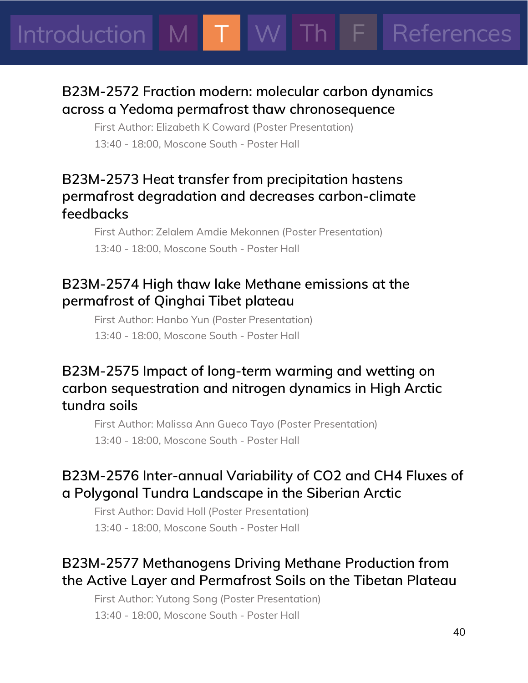#### **B23M-2572 Fraction modern: molecular carbon dynamics across a Yedoma permafrost thaw chronosequence**

 First Author: Elizabeth K Coward (Poster Presentation) 13:40 - 18:00, Moscone South - Poster Hall

#### **B23M-2573 Heat transfer from precipitation hastens permafrost degradation and decreases carbon-climate feedbacks**

 First Author: Zelalem Amdie Mekonnen (Poster Presentation) 13:40 - 18:00, Moscone South - Poster Hall

#### **B23M-2574 High thaw lake Methane emissions at the permafrost of Qinghai Tibet plateau**

 First Author: Hanbo Yun (Poster Presentation) 13:40 - 18:00, Moscone South - Poster Hall

#### **B23M-2575 Impact of long-term warming and wetting on carbon sequestration and nitrogen dynamics in High Arctic tundra soils**

 First Author: Malissa Ann Gueco Tayo (Poster Presentation) 13:40 - 18:00, Moscone South - Poster Hall

## **B23M-2576 Inter-annual Variability of CO2 and CH4 Fluxes of a Polygonal Tundra Landscape in the Siberian Arctic**

 First Author: David Holl (Poster Presentation) 13:40 - 18:00, Moscone South - Poster Hall

## **B23M-2577 Methanogens Driving Methane Production from the Active Layer and Permafrost Soils on the Tibetan Plateau**

 First Author: Yutong Song (Poster Presentation) 13:40 - 18:00, Moscone South - Poster Hall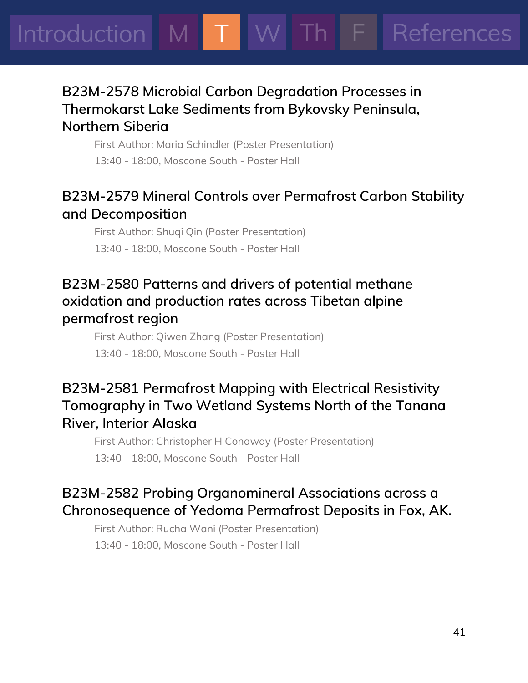TReferences **Introduction** 

#### **B23M-2578 Microbial Carbon Degradation Processes in Thermokarst Lake Sediments from Bykovsky Peninsula, Northern Siberia**

 First Author: Maria Schindler (Poster Presentation) 13:40 - 18:00, Moscone South - Poster Hall

#### **B23M-2579 Mineral Controls over Permafrost Carbon Stability and Decomposition**

 First Author: Shuqi Qin (Poster Presentation) 13:40 - 18:00, Moscone South - Poster Hall

#### **B23M-2580 Patterns and drivers of potential methane oxidation and production rates across Tibetan alpine permafrost region**

 First Author: Qiwen Zhang (Poster Presentation) 13:40 - 18:00, Moscone South - Poster Hall

#### **B23M-2581 Permafrost Mapping with Electrical Resistivity Tomography in Two Wetland Systems North of the Tanana River, Interior Alaska**

 First Author: Christopher H Conaway (Poster Presentation) 13:40 - 18:00, Moscone South - Poster Hall

#### **B23M-2582 Probing Organomineral Associations across a Chronosequence of Yedoma Permafrost Deposits in Fox, AK.**

 First Author: Rucha Wani (Poster Presentation) 13:40 - 18:00, Moscone South - Poster Hall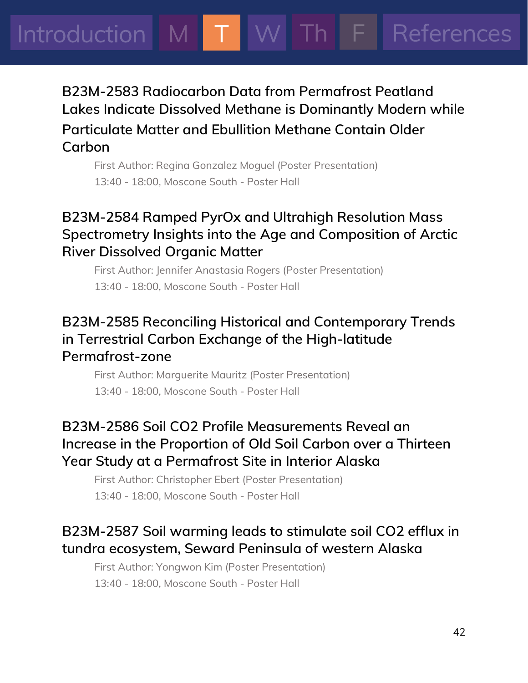T**References** Introduction  $\blacksquare$ 

## **B23M-2583 Radiocarbon Data from Permafrost Peatland Lakes Indicate Dissolved Methane is Dominantly Modern while Particulate Matter and Ebullition Methane Contain Older Carbon**

 First Author: Regina Gonzalez Moguel (Poster Presentation) 13:40 - 18:00, Moscone South - Poster Hall

#### **B23M-2584 Ramped PyrOx and Ultrahigh Resolution Mass Spectrometry Insights into the Age and Composition of Arctic River Dissolved Organic Matter**

 First Author: Jennifer Anastasia Rogers (Poster Presentation) 13:40 - 18:00, Moscone South - Poster Hall

#### **B23M-2585 Reconciling Historical and Contemporary Trends in Terrestrial Carbon Exchange of the High-latitude Permafrost-zone**

 First Author: Marguerite Mauritz (Poster Presentation) 13:40 - 18:00, Moscone South - Poster Hall

#### **B23M-2586 Soil CO2 Profile Measurements Reveal an Increase in the Proportion of Old Soil Carbon over a Thirteen Year Study at a Permafrost Site in Interior Alaska**

 First Author: Christopher Ebert (Poster Presentation) 13:40 - 18:00, Moscone South - Poster Hall

#### **B23M-2587 Soil warming leads to stimulate soil CO2 efflux in tundra ecosystem, Seward Peninsula of western Alaska**

 First Author: Yongwon Kim (Poster Presentation) 13:40 - 18:00, Moscone South - Poster Hall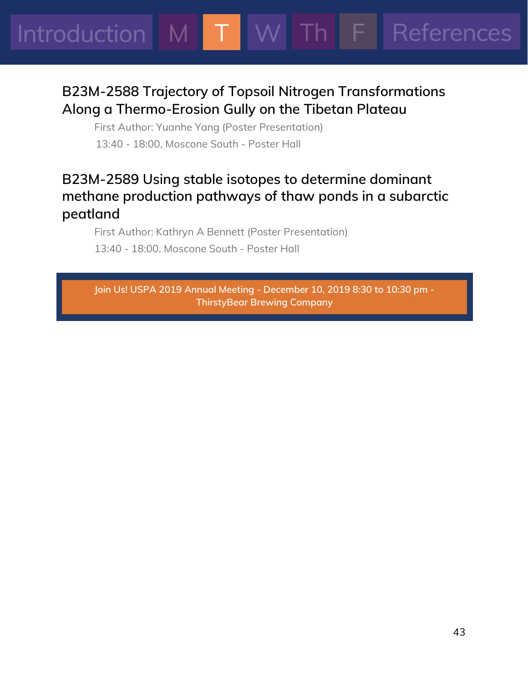#### Introduction | M References T

## **B23M-2588 Trajectory of Topsoil Nitrogen Transformations Along a Thermo-Erosion Gully on the Tibetan Plateau**

 First Author: Yuanhe Yang (Poster Presentation) 13:40 - 18:00, Moscone South - Poster Hall

#### **B23M-2589 Using stable isotopes to determine dominant methane production pathways of thaw ponds in a subarctic peatland**

 First Author: Kathryn A Bennett (Poster Presentation) 13:40 - 18:00, Moscone South - Poster Hall

**Join Us! USPA 2019 Annual Meeting - December 10, 2019 8:30 to 10:30 pm - ThirstyBear Brewing Company**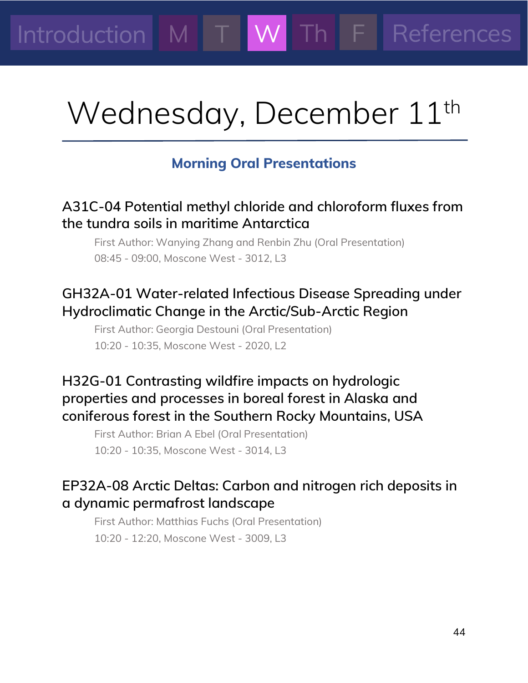Introduction WReferences  $\blacksquare$ 

## <span id="page-43-0"></span>Wednesday, December 11<sup>th</sup>

#### **Morning Oral Presentations**

#### <span id="page-43-1"></span>**A31C-04 Potential methyl chloride and chloroform fluxes from the tundra soils in maritime Antarctica**

 First Author: Wanying Zhang and Renbin Zhu (Oral Presentation) 08:45 - 09:00, Moscone West - 3012, L3

#### **GH32A-01 Water-related Infectious Disease Spreading under Hydroclimatic Change in the Arctic/Sub-Arctic Region**

 First Author: Georgia Destouni (Oral Presentation) 10:20 - 10:35, Moscone West - 2020, L2

#### **H32G-01 Contrasting wildfire impacts on hydrologic properties and processes in boreal forest in Alaska and coniferous forest in the Southern Rocky Mountains, USA**

 First Author: Brian A Ebel (Oral Presentation) 10:20 - 10:35, Moscone West - 3014, L3

#### **EP32A-08 Arctic Deltas: Carbon and nitrogen rich deposits in a dynamic permafrost landscape**

 First Author: Matthias Fuchs (Oral Presentation) 10:20 - 12:20, Moscone West - 3009, L3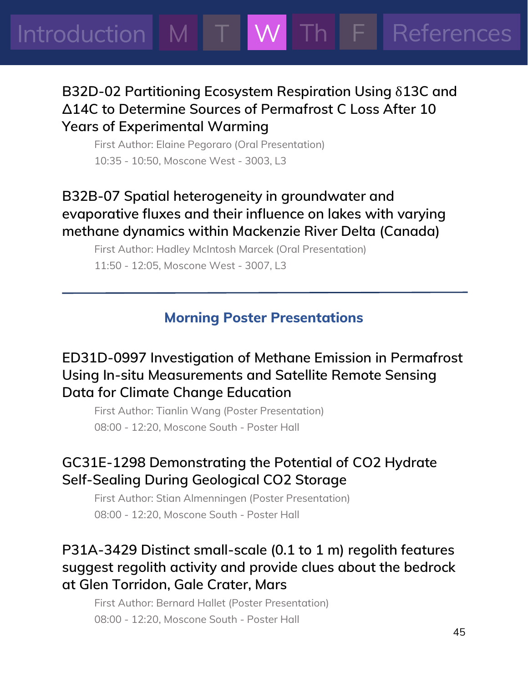WReferences Introduction I M

#### **B32D-02 Partitioning Ecosystem Respiration Using** δ**13C and Δ14C to Determine Sources of Permafrost C Loss After 10 Years of Experimental Warming**

 First Author: Elaine Pegoraro (Oral Presentation) 10:35 - 10:50, Moscone West - 3003, L3

#### **B32B-07 Spatial heterogeneity in groundwater and evaporative fluxes and their influence on lakes with varying methane dynamics within Mackenzie River Delta (Canada)**

 First Author: Hadley McIntosh Marcek (Oral Presentation) 11:50 - 12:05, Moscone West - 3007, L3

#### **Morning Poster Presentations**

#### <span id="page-44-0"></span>**ED31D-0997 Investigation of Methane Emission in Permafrost Using In-situ Measurements and Satellite Remote Sensing Data for Climate Change Education**

 First Author: Tianlin Wang (Poster Presentation) 08:00 - 12:20, Moscone South - Poster Hall

#### **GC31E-1298 Demonstrating the Potential of CO2 Hydrate Self-Sealing During Geological CO2 Storage**

 First Author: Stian Almenningen (Poster Presentation) 08:00 - 12:20, Moscone South - Poster Hall

#### **P31A-3429 Distinct small-scale (0.1 to 1 m) regolith features suggest regolith activity and provide clues about the bedrock at Glen Torridon, Gale Crater, Mars**

 First Author: Bernard Hallet (Poster Presentation) 08:00 - 12:20, Moscone South - Poster Hall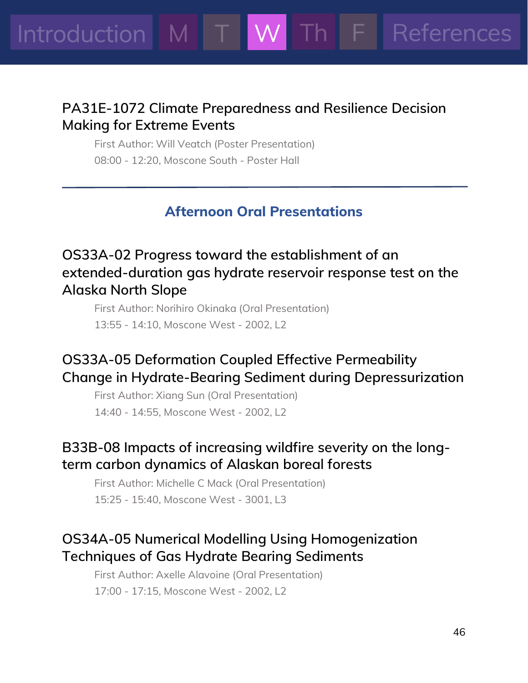WReferences Introduction

#### **PA31E-1072 Climate Preparedness and Resilience Decision Making for Extreme Events**

 First Author: Will Veatch (Poster Presentation) 08:00 - 12:20, Moscone South - Poster Hall

#### **Afternoon Oral Presentations**

#### <span id="page-45-0"></span>**OS33A-02 Progress toward the establishment of an extended-duration gas hydrate reservoir response test on the Alaska North Slope**

 First Author: Norihiro Okinaka (Oral Presentation) 13:55 - 14:10, Moscone West - 2002, L2

#### **OS33A-05 Deformation Coupled Effective Permeability Change in Hydrate-Bearing Sediment during Depressurization**

 First Author: Xiang Sun (Oral Presentation) 14:40 - 14:55, Moscone West - 2002, L2

#### **B33B-08 Impacts of increasing wildfire severity on the longterm carbon dynamics of Alaskan boreal forests**

 First Author: Michelle C Mack (Oral Presentation) 15:25 - 15:40, Moscone West - 3001, L3

#### **OS34A-05 Numerical Modelling Using Homogenization Techniques of Gas Hydrate Bearing Sediments**

 First Author: Axelle Alavoine (Oral Presentation) 17:00 - 17:15, Moscone West - 2002, L2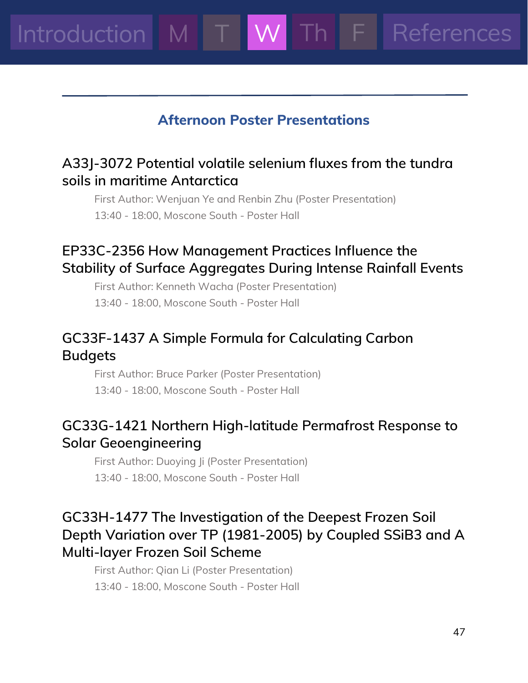WReferences Introduction

#### **Afternoon Poster Presentations**

#### <span id="page-46-0"></span>**A33J-3072 Potential volatile selenium fluxes from the tundra soils in maritime Antarctica**

 First Author: Wenjuan Ye and Renbin Zhu (Poster Presentation) 13:40 - 18:00, Moscone South - Poster Hall

#### **EP33C-2356 How Management Practices Influence the Stability of Surface Aggregates During Intense Rainfall Events**

 First Author: Kenneth Wacha (Poster Presentation) 13:40 - 18:00, Moscone South - Poster Hall

#### **GC33F-1437 A Simple Formula for Calculating Carbon Budgets**

 First Author: Bruce Parker (Poster Presentation) 13:40 - 18:00, Moscone South - Poster Hall

#### **GC33G-1421 Northern High-latitude Permafrost Response to Solar Geoengineering**

First Author: Duoying Ji (Poster Presentation) 13:40 - 18:00, Moscone South - Poster Hall

#### **GC33H-1477 The Investigation of the Deepest Frozen Soil Depth Variation over TP (1981-2005) by Coupled SSiB3 and A Multi-layer Frozen Soil Scheme**

 First Author: Qian Li (Poster Presentation) 13:40 - 18:00, Moscone South - Poster Hall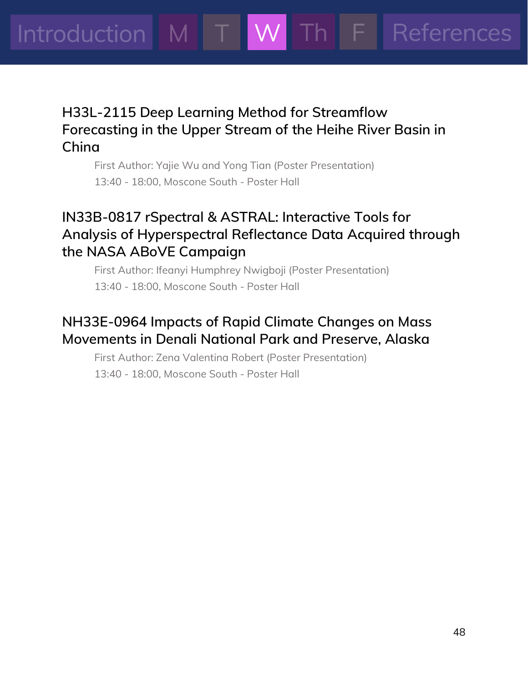#### **H33L-2115 Deep Learning Method for Streamflow Forecasting in the Upper Stream of the Heihe River Basin in China**

 First Author: Yajie Wu and Yong Tian (Poster Presentation) 13:40 - 18:00, Moscone South - Poster Hall

#### **IN33B-0817 rSpectral & ASTRAL: Interactive Tools for Analysis of Hyperspectral Reflectance Data Acquired through the NASA ABoVE Campaign**

 First Author: Ifeanyi Humphrey Nwigboji (Poster Presentation) 13:40 - 18:00, Moscone South - Poster Hall

## **NH33E-0964 Impacts of Rapid Climate Changes on Mass Movements in Denali National Park and Preserve, Alaska**

 First Author: Zena Valentina Robert (Poster Presentation) 13:40 - 18:00, Moscone South - Poster Hall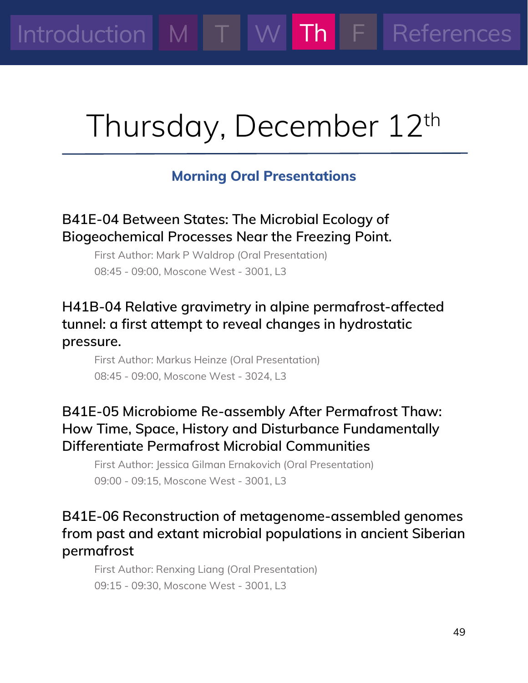#### ThReferences Introduction **IM**

## <span id="page-48-0"></span>Thursday, December 12th

#### **Morning Oral Presentations**

#### <span id="page-48-1"></span>**B41E-04 Between States: The Microbial Ecology of Biogeochemical Processes Near the Freezing Point.**

 First Author: Mark P Waldrop (Oral Presentation) 08:45 - 09:00, Moscone West - 3001, L3

#### **H41B-04 Relative gravimetry in alpine permafrost-affected tunnel: a first attempt to reveal changes in hydrostatic pressure.**

 First Author: Markus Heinze (Oral Presentation) 08:45 - 09:00, Moscone West - 3024, L3

#### **B41E-05 Microbiome Re-assembly After Permafrost Thaw: How Time, Space, History and Disturbance Fundamentally Differentiate Permafrost Microbial Communities**

 First Author: Jessica Gilman Ernakovich (Oral Presentation) 09:00 - 09:15, Moscone West - 3001, L3

#### **B41E-06 Reconstruction of metagenome-assembled genomes from past and extant microbial populations in ancient Siberian permafrost**

 First Author: Renxing Liang (Oral Presentation) 09:15 - 09:30, Moscone West - 3001, L3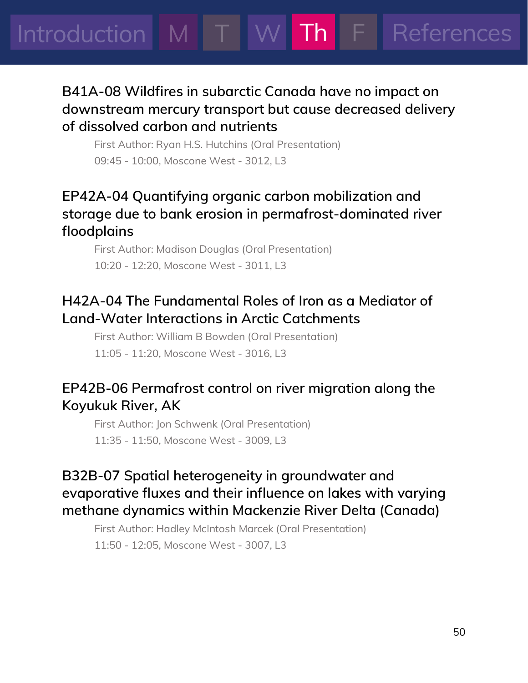ThReferences Introduction I M

#### **B41A-08 Wildfires in subarctic Canada have no impact on downstream mercury transport but cause decreased delivery of dissolved carbon and nutrients**

 First Author: Ryan H.S. Hutchins (Oral Presentation) 09:45 - 10:00, Moscone West - 3012, L3

#### **EP42A-04 Quantifying organic carbon mobilization and storage due to bank erosion in permafrost-dominated river floodplains**

 First Author: Madison Douglas (Oral Presentation) 10:20 - 12:20, Moscone West - 3011, L3

#### **H42A-04 The Fundamental Roles of Iron as a Mediator of Land-Water Interactions in Arctic Catchments**

 First Author: William B Bowden (Oral Presentation) 11:05 - 11:20, Moscone West - 3016, L3

#### **EP42B-06 Permafrost control on river migration along the Koyukuk River, AK**

 First Author: Jon Schwenk (Oral Presentation) 11:35 - 11:50, Moscone West - 3009, L3

#### **B32B-07 Spatial heterogeneity in groundwater and evaporative fluxes and their influence on lakes with varying methane dynamics within Mackenzie River Delta (Canada)**

 First Author: Hadley McIntosh Marcek (Oral Presentation) 11:50 - 12:05, Moscone West - 3007, L3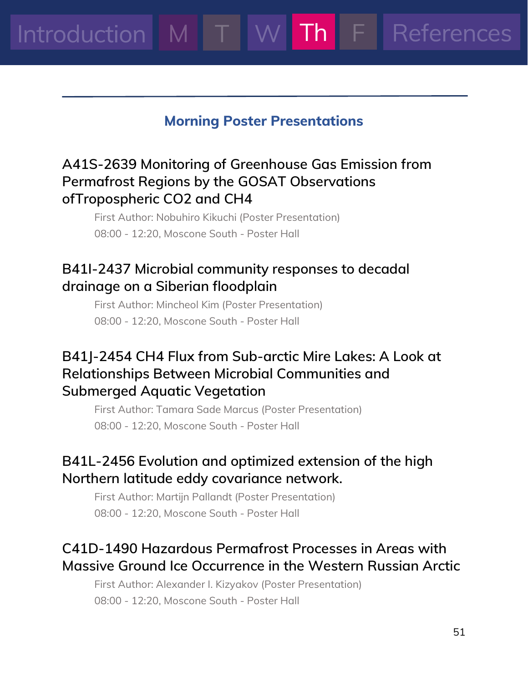#### **Morning Poster Presentations**

#### <span id="page-50-0"></span>**A41S-2639 Monitoring of Greenhouse Gas Emission from Permafrost Regions by the GOSAT Observations ofTropospheric CO2 and CH4**

 First Author: Nobuhiro Kikuchi (Poster Presentation) 08:00 - 12:20, Moscone South - Poster Hall

#### **B41I-2437 Microbial community responses to decadal drainage on a Siberian floodplain**

 First Author: Mincheol Kim (Poster Presentation) 08:00 - 12:20, Moscone South - Poster Hall

#### **B41J-2454 CH4 Flux from Sub-arctic Mire Lakes: A Look at Relationships Between Microbial Communities and Submerged Aquatic Vegetation**

 First Author: Tamara Sade Marcus (Poster Presentation) 08:00 - 12:20, Moscone South - Poster Hall

#### **B41L-2456 Evolution and optimized extension of the high Northern latitude eddy covariance network.**

 First Author: Martijn Pallandt (Poster Presentation) 08:00 - 12:20, Moscone South - Poster Hall

## **C41D-1490 Hazardous Permafrost Processes in Areas with Massive Ground Ice Occurrence in the Western Russian Arctic**

 First Author: Alexander I. Kizyakov (Poster Presentation) 08:00 - 12:20, Moscone South - Poster Hall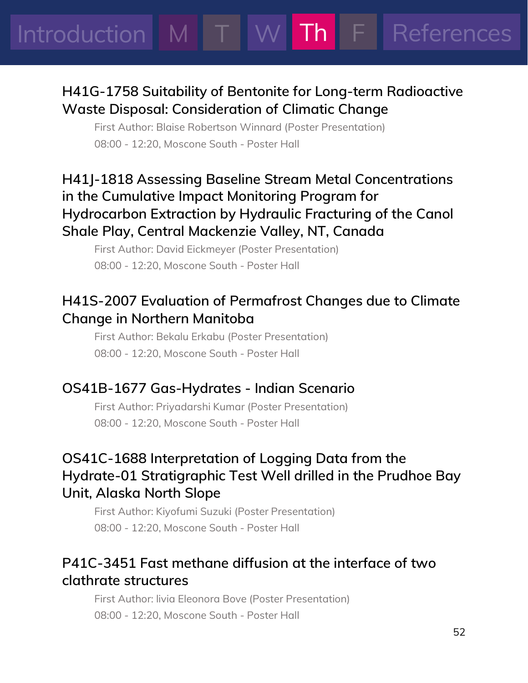ThReferences Introduction I M

#### **H41G-1758 Suitability of Bentonite for Long-term Radioactive Waste Disposal: Consideration of Climatic Change**

 First Author: Blaise Robertson Winnard (Poster Presentation) 08:00 - 12:20, Moscone South - Poster Hall

#### **H41J-1818 Assessing Baseline Stream Metal Concentrations in the Cumulative Impact Monitoring Program for Hydrocarbon Extraction by Hydraulic Fracturing of the Canol Shale Play, Central Mackenzie Valley, NT, Canada**

 First Author: David Eickmeyer (Poster Presentation) 08:00 - 12:20, Moscone South - Poster Hall

#### **H41S-2007 Evaluation of Permafrost Changes due to Climate Change in Northern Manitoba**

 First Author: Bekalu Erkabu (Poster Presentation) 08:00 - 12:20, Moscone South - Poster Hall

#### **OS41B-1677 Gas-Hydrates - Indian Scenario**

 First Author: Priyadarshi Kumar (Poster Presentation) 08:00 - 12:20, Moscone South - Poster Hall

#### **OS41C-1688 Interpretation of Logging Data from the Hydrate-01 Stratigraphic Test Well drilled in the Prudhoe Bay Unit, Alaska North Slope**

 First Author: Kiyofumi Suzuki (Poster Presentation) 08:00 - 12:20, Moscone South - Poster Hall

#### **P41C-3451 Fast methane diffusion at the interface of two clathrate structures**

 First Author: livia Eleonora Bove (Poster Presentation) 08:00 - 12:20, Moscone South - Poster Hall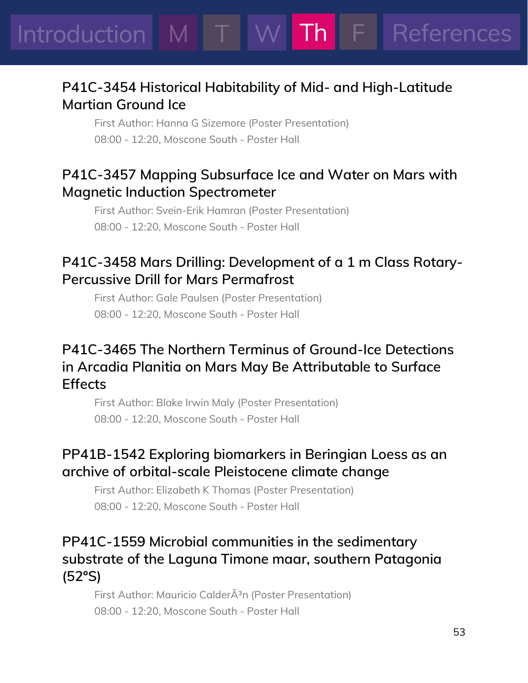#### ThReferences **Introduction** I M

#### **P41C-3454 Historical Habitability of Mid- and High-Latitude Martian Ground Ice**

 First Author: Hanna G Sizemore (Poster Presentation) 08:00 - 12:20, Moscone South - Poster Hall

#### **P41C-3457 Mapping Subsurface Ice and Water on Mars with Magnetic Induction Spectrometer**

 First Author: Svein-Erik Hamran (Poster Presentation) 08:00 - 12:20, Moscone South - Poster Hall

#### **P41C-3458 Mars Drilling: Development of a 1 m Class Rotary-Percussive Drill for Mars Permafrost**

 First Author: Gale Paulsen (Poster Presentation) 08:00 - 12:20, Moscone South - Poster Hall

#### **P41C-3465 The Northern Terminus of Ground-Ice Detections in Arcadia Planitia on Mars May Be Attributable to Surface Effects**

 First Author: Blake Irwin Maly (Poster Presentation) 08:00 - 12:20, Moscone South - Poster Hall

#### **PP41B-1542 Exploring biomarkers in Beringian Loess as an archive of orbital-scale Pleistocene climate change**

 First Author: Elizabeth K Thomas (Poster Presentation) 08:00 - 12:20, Moscone South - Poster Hall

#### **PP41C-1559 Microbial communities in the sedimentary substrate of the Laguna Timone maar, southern Patagonia (52ºS)**

First Author: Mauricio CalderÃ<sup>3</sup>n (Poster Presentation) 08:00 - 12:20, Moscone South - Poster Hall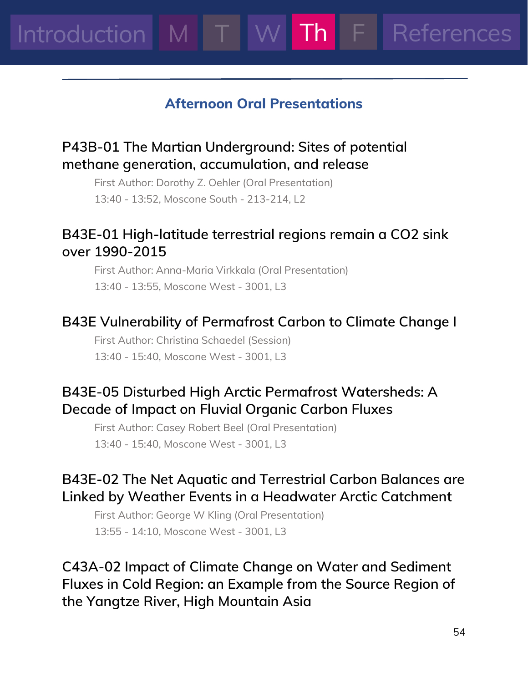#### **Afternoon Oral Presentations**

#### <span id="page-53-0"></span>**P43B-01 The Martian Underground: Sites of potential methane generation, accumulation, and release**

 First Author: Dorothy Z. Oehler (Oral Presentation) 13:40 - 13:52, Moscone South - 213-214, L2

#### **B43E-01 High-latitude terrestrial regions remain a CO2 sink over 1990-2015**

 First Author: Anna-Maria Virkkala (Oral Presentation) 13:40 - 13:55, Moscone West - 3001, L3

#### **B43E Vulnerability of Permafrost Carbon to Climate Change I**

 First Author: Christina Schaedel (Session) 13:40 - 15:40, Moscone West - 3001, L3

#### **B43E-05 Disturbed High Arctic Permafrost Watersheds: A Decade of Impact on Fluvial Organic Carbon Fluxes**

 First Author: Casey Robert Beel (Oral Presentation) 13:40 - 15:40, Moscone West - 3001, L3

#### **B43E-02 The Net Aquatic and Terrestrial Carbon Balances are Linked by Weather Events in a Headwater Arctic Catchment**

 First Author: George W Kling (Oral Presentation) 13:55 - 14:10, Moscone West - 3001, L3

**C43A-02 Impact of Climate Change on Water and Sediment Fluxes in Cold Region: an Example from the Source Region of the Yangtze River, High Mountain Asia**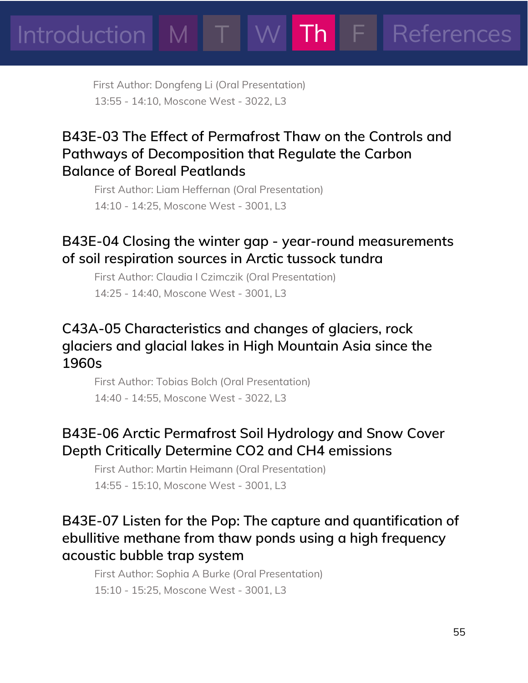First Author: Dongfeng Li (Oral Presentation) 13:55 - 14:10, Moscone West - 3022, L3

Ī

#### **B43E-03 The Effect of Permafrost Thaw on the Controls and Pathways of Decomposition that Regulate the Carbon Balance of Boreal Peatlands**

 First Author: Liam Heffernan (Oral Presentation) 14:10 - 14:25, Moscone West - 3001, L3

#### **B43E-04 Closing the winter gap - year-round measurements of soil respiration sources in Arctic tussock tundra**

 First Author: Claudia I Czimczik (Oral Presentation) 14:25 - 14:40, Moscone West - 3001, L3

#### **C43A-05 Characteristics and changes of glaciers, rock glaciers and glacial lakes in High Mountain Asia since the 1960s**

 First Author: Tobias Bolch (Oral Presentation) 14:40 - 14:55, Moscone West - 3022, L3

#### **B43E-06 Arctic Permafrost Soil Hydrology and Snow Cover Depth Critically Determine CO2 and CH4 emissions**

 First Author: Martin Heimann (Oral Presentation) 14:55 - 15:10, Moscone West - 3001, L3

#### **B43E-07 Listen for the Pop: The capture and quantification of ebullitive methane from thaw ponds using a high frequency acoustic bubble trap system**

 First Author: Sophia A Burke (Oral Presentation) 15:10 - 15:25, Moscone West - 3001, L3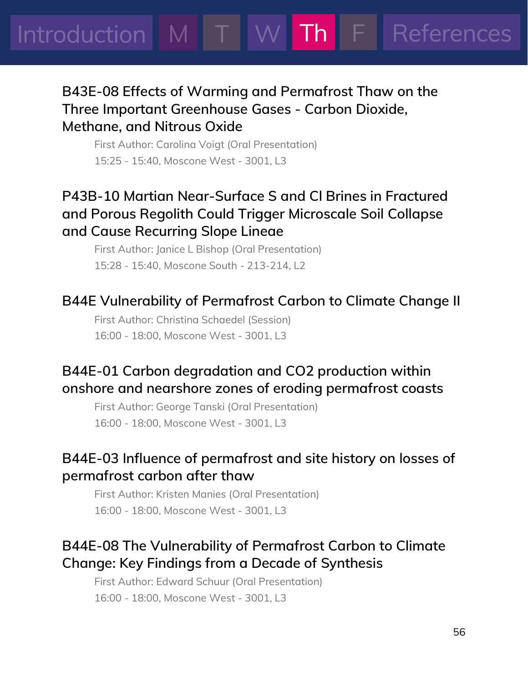ThReferences **Introduction** I M

#### **B43E-08 Effects of Warming and Permafrost Thaw on the Three Important Greenhouse Gases - Carbon Dioxide, Methane, and Nitrous Oxide**

 First Author: Carolina Voigt (Oral Presentation) 15:25 - 15:40, Moscone West - 3001, L3

#### **P43B-10 Martian Near-Surface S and Cl Brines in Fractured and Porous Regolith Could Trigger Microscale Soil Collapse and Cause Recurring Slope Lineae**

 First Author: Janice L Bishop (Oral Presentation) 15:28 - 15:40, Moscone South - 213-214, L2

#### **B44E Vulnerability of Permafrost Carbon to Climate Change II**

 First Author: Christina Schaedel (Session) 16:00 - 18:00, Moscone West - 3001, L3

#### **B44E-01 Carbon degradation and CO2 production within onshore and nearshore zones of eroding permafrost coasts**

 First Author: George Tanski (Oral Presentation) 16:00 - 18:00, Moscone West - 3001, L3

#### **B44E-03 Influence of permafrost and site history on losses of permafrost carbon after thaw**

 First Author: Kristen Manies (Oral Presentation) 16:00 - 18:00, Moscone West - 3001, L3

#### **B44E-08 The Vulnerability of Permafrost Carbon to Climate Change: Key Findings from a Decade of Synthesis**

 First Author: Edward Schuur (Oral Presentation) 16:00 - 18:00, Moscone West - 3001, L3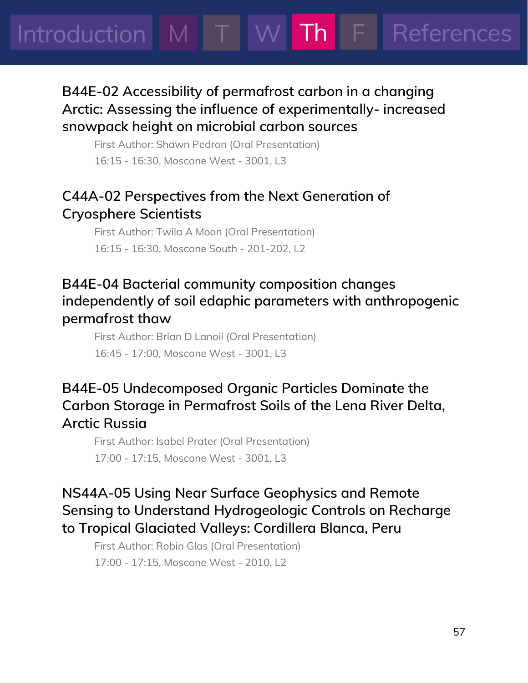ThReferences Introduction M

#### **B44E-02 Accessibility of permafrost carbon in a changing Arctic: Assessing the influence of experimentally- increased snowpack height on microbial carbon sources**

 First Author: Shawn Pedron (Oral Presentation) 16:15 - 16:30, Moscone West - 3001, L3

#### **C44A-02 Perspectives from the Next Generation of Cryosphere Scientists**

 First Author: Twila A Moon (Oral Presentation) 16:15 - 16:30, Moscone South - 201-202, L2

#### **B44E-04 Bacterial community composition changes independently of soil edaphic parameters with anthropogenic permafrost thaw**

 First Author: Brian D Lanoil (Oral Presentation) 16:45 - 17:00, Moscone West - 3001, L3

#### **B44E-05 Undecomposed Organic Particles Dominate the Carbon Storage in Permafrost Soils of the Lena River Delta, Arctic Russia**

 First Author: Isabel Prater (Oral Presentation) 17:00 - 17:15, Moscone West - 3001, L3

#### **NS44A-05 Using Near Surface Geophysics and Remote Sensing to Understand Hydrogeologic Controls on Recharge to Tropical Glaciated Valleys: Cordillera Blanca, Peru**

 First Author: Robin Glas (Oral Presentation) 17:00 - 17:15, Moscone West - 2010, L2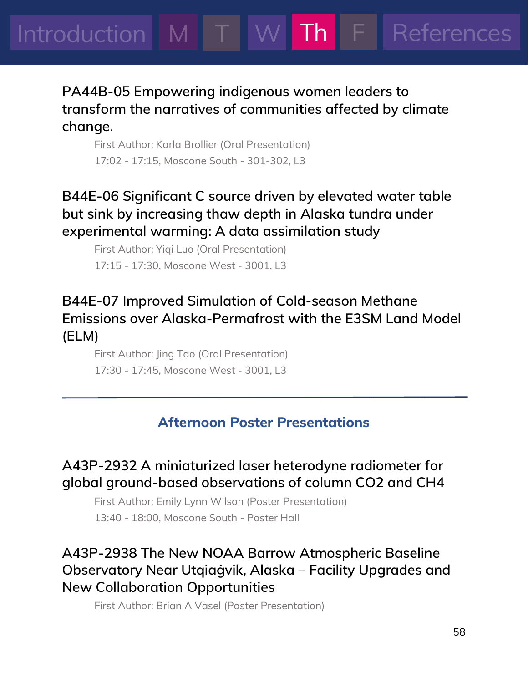ThReferences Introduction I M

#### **PA44B-05 Empowering indigenous women leaders to transform the narratives of communities affected by climate change.**

 First Author: Karla Brollier (Oral Presentation) 17:02 - 17:15, Moscone South - 301-302, L3

#### **B44E-06 Significant C source driven by elevated water table but sink by increasing thaw depth in Alaska tundra under experimental warming: A data assimilation study**

 First Author: Yiqi Luo (Oral Presentation) 17:15 - 17:30, Moscone West - 3001, L3

## **B44E-07 Improved Simulation of Cold-season Methane Emissions over Alaska-Permafrost with the E3SM Land Model (ELM)**

 First Author: Jing Tao (Oral Presentation) 17:30 - 17:45, Moscone West - 3001, L3

#### **Afternoon Poster Presentations**

#### <span id="page-57-0"></span>**A43P-2932 A miniaturized laser heterodyne radiometer for global ground-based observations of column CO2 and CH4**

 First Author: Emily Lynn Wilson (Poster Presentation) 13:40 - 18:00, Moscone South - Poster Hall

#### **A43P-2938 The New NOAA Barrow Atmospheric Baseline Observatory Near Utqiaġvik, Alaska – Facility Upgrades and New Collaboration Opportunities**

First Author: Brian A Vasel (Poster Presentation)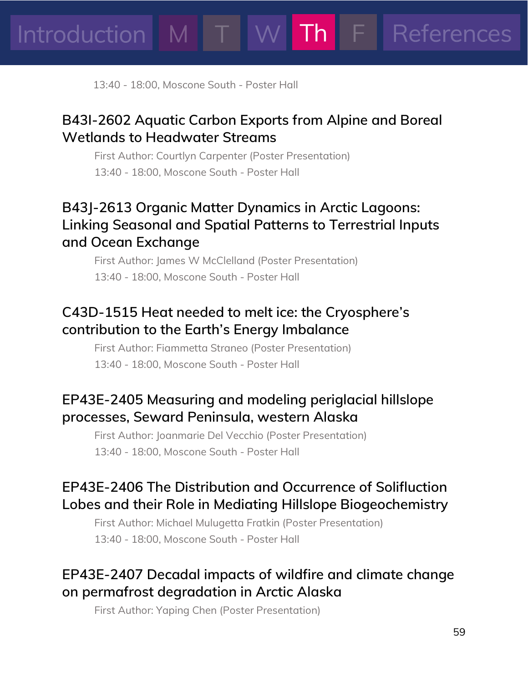ThReferences Introduction

13:40 - 18:00, Moscone South - Poster Hall

#### **B43I-2602 Aquatic Carbon Exports from Alpine and Boreal Wetlands to Headwater Streams**

 First Author: Courtlyn Carpenter (Poster Presentation) 13:40 - 18:00, Moscone South - Poster Hall

#### **B43J-2613 Organic Matter Dynamics in Arctic Lagoons: Linking Seasonal and Spatial Patterns to Terrestrial Inputs and Ocean Exchange**

 First Author: James W McClelland (Poster Presentation) 13:40 - 18:00, Moscone South - Poster Hall

#### **C43D-1515 Heat needed to melt ice: the Cryosphere's contribution to the Earth's Energy Imbalance**

 First Author: Fiammetta Straneo (Poster Presentation) 13:40 - 18:00, Moscone South - Poster Hall

#### **EP43E-2405 Measuring and modeling periglacial hillslope processes, Seward Peninsula, western Alaska**

 First Author: Joanmarie Del Vecchio (Poster Presentation) 13:40 - 18:00, Moscone South - Poster Hall

#### **EP43E-2406 The Distribution and Occurrence of Solifluction Lobes and their Role in Mediating Hillslope Biogeochemistry**

 First Author: Michael Mulugetta Fratkin (Poster Presentation) 13:40 - 18:00, Moscone South - Poster Hall

#### **EP43E-2407 Decadal impacts of wildfire and climate change on permafrost degradation in Arctic Alaska**

First Author: Yaping Chen (Poster Presentation)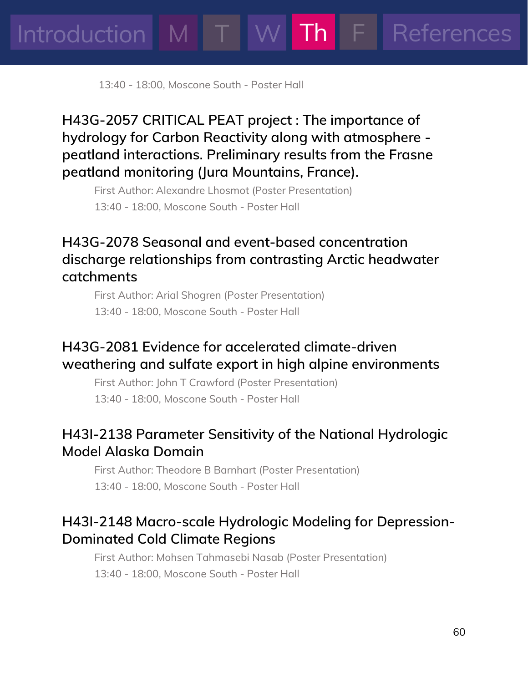#### Th**References** Introduction

13:40 - 18:00, Moscone South - Poster Hall

Ϊ

## **H43G-2057 CRITICAL PEAT project : The importance of hydrology for Carbon Reactivity along with atmosphere peatland interactions. Preliminary results from the Frasne peatland monitoring (Jura Mountains, France).**

 First Author: Alexandre Lhosmot (Poster Presentation) 13:40 - 18:00, Moscone South - Poster Hall

### **H43G-2078 Seasonal and event-based concentration discharge relationships from contrasting Arctic headwater catchments**

 First Author: Arial Shogren (Poster Presentation) 13:40 - 18:00, Moscone South - Poster Hall

#### **H43G-2081 Evidence for accelerated climate-driven weathering and sulfate export in high alpine environments**

 First Author: John T Crawford (Poster Presentation) 13:40 - 18:00, Moscone South - Poster Hall

#### **H43I-2138 Parameter Sensitivity of the National Hydrologic Model Alaska Domain**

 First Author: Theodore B Barnhart (Poster Presentation) 13:40 - 18:00, Moscone South - Poster Hall

#### **H43I-2148 Macro-scale Hydrologic Modeling for Depression-Dominated Cold Climate Regions**

 First Author: Mohsen Tahmasebi Nasab (Poster Presentation) 13:40 - 18:00, Moscone South - Poster Hall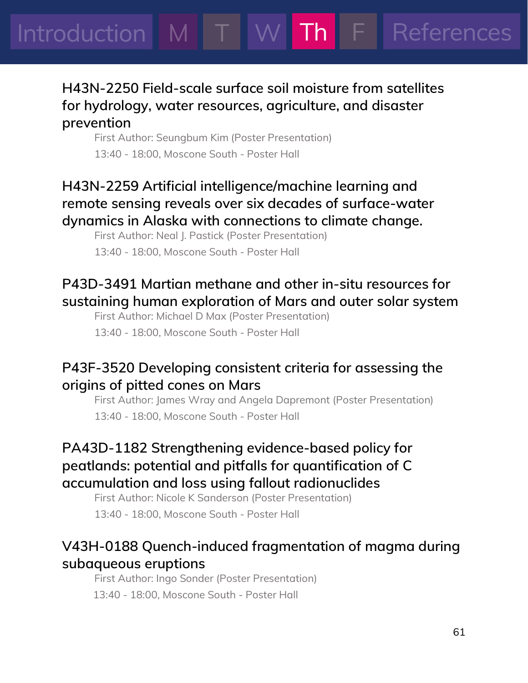Th**References** Introduction

#### **H43N-2250 Field-scale surface soil moisture from satellites for hydrology, water resources, agriculture, and disaster prevention**

 First Author: Seungbum Kim (Poster Presentation) 13:40 - 18:00, Moscone South - Poster Hall

#### **H43N-2259 Artificial intelligence/machine learning and remote sensing reveals over six decades of surface-water dynamics in Alaska with connections to climate change.**

First Author: Neal J. Pastick (Poster Presentation) 13:40 - 18:00, Moscone South - Poster Hall

#### **P43D-3491 Martian methane and other in-situ resources for sustaining human exploration of Mars and outer solar system**

First Author: Michael D Max (Poster Presentation)

13:40 - 18:00, Moscone South - Poster Hall

#### **P43F-3520 Developing consistent criteria for assessing the origins of pitted cones on Mars**

 First Author: James Wray and Angela Dapremont (Poster Presentation) 13:40 - 18:00, Moscone South - Poster Hall

#### **PA43D-1182 Strengthening evidence-based policy for peatlands: potential and pitfalls for quantification of C accumulation and loss using fallout radionuclides**

First Author: Nicole K Sanderson (Poster Presentation)

13:40 - 18:00, Moscone South - Poster Hall

#### **V43H-0188 Quench-induced fragmentation of magma during subaqueous eruptions**

 First Author: Ingo Sonder (Poster Presentation) 13:40 - 18:00, Moscone South - Poster Hall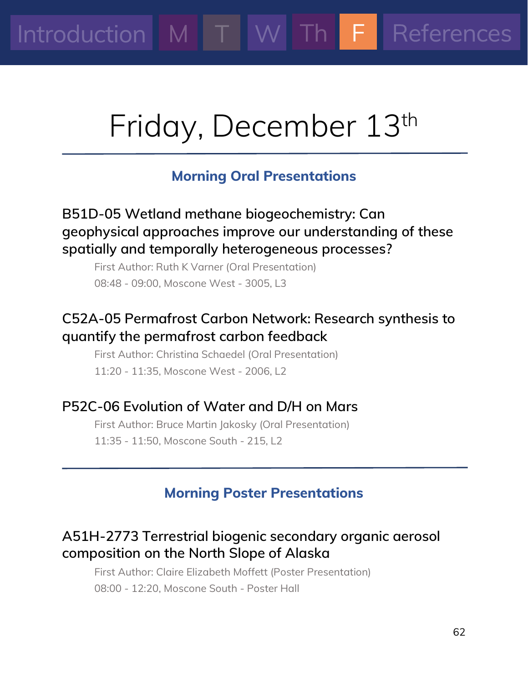## <span id="page-61-0"></span>Friday, December 13th

#### **Morning Oral Presentations**

#### <span id="page-61-1"></span>**B51D-05 Wetland methane biogeochemistry: Can geophysical approaches improve our understanding of these spatially and temporally heterogeneous processes?**

 First Author: Ruth K Varner (Oral Presentation) 08:48 - 09:00, Moscone West - 3005, L3

#### **C52A-05 Permafrost Carbon Network: Research synthesis to quantify the permafrost carbon feedback**

 First Author: Christina Schaedel (Oral Presentation) 11:20 - 11:35, Moscone West - 2006, L2

#### **P52C-06 Evolution of Water and D/H on Mars**

 First Author: Bruce Martin Jakosky (Oral Presentation) 11:35 - 11:50, Moscone South - 215, L2

#### **Morning Poster Presentations**

#### <span id="page-61-2"></span>**A51H-2773 Terrestrial biogenic secondary organic aerosol composition on the North Slope of Alaska**

 First Author: Claire Elizabeth Moffett (Poster Presentation) 08:00 - 12:20, Moscone South - Poster Hall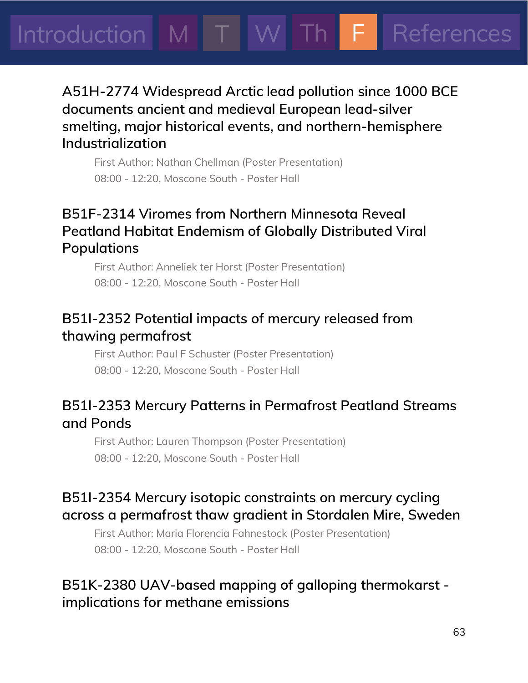FReferences **Introduction** I M

#### **A51H-2774 Widespread Arctic lead pollution since 1000 BCE documents ancient and medieval European lead-silver smelting, major historical events, and northern-hemisphere Industrialization**

 First Author: Nathan Chellman (Poster Presentation) 08:00 - 12:20, Moscone South - Poster Hall

#### **B51F-2314 Viromes from Northern Minnesota Reveal Peatland Habitat Endemism of Globally Distributed Viral Populations**

 First Author: Anneliek ter Horst (Poster Presentation) 08:00 - 12:20, Moscone South - Poster Hall

#### **B51I-2352 Potential impacts of mercury released from thawing permafrost**

 First Author: Paul F Schuster (Poster Presentation) 08:00 - 12:20, Moscone South - Poster Hall

#### **B51I-2353 Mercury Patterns in Permafrost Peatland Streams and Ponds**

 First Author: Lauren Thompson (Poster Presentation) 08:00 - 12:20, Moscone South - Poster Hall

#### **B51I-2354 Mercury isotopic constraints on mercury cycling across a permafrost thaw gradient in Stordalen Mire, Sweden**

 First Author: Maria Florencia Fahnestock (Poster Presentation) 08:00 - 12:20, Moscone South - Poster Hall

#### **B51K-2380 UAV-based mapping of galloping thermokarst implications for methane emissions**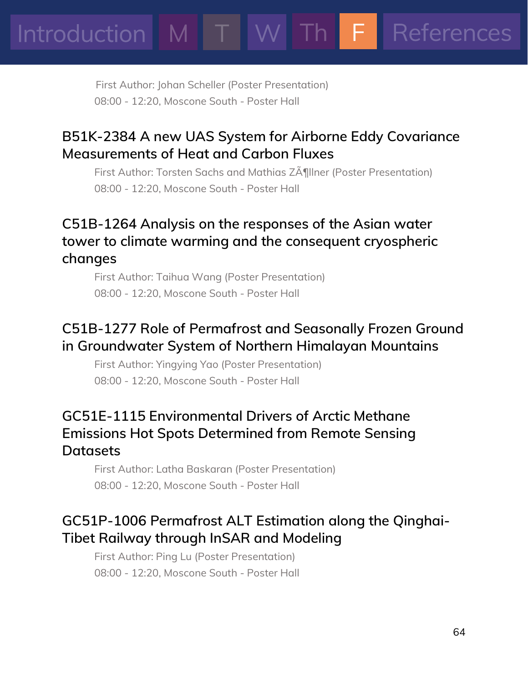#### F**References Introduction**

First Author: Johan Scheller (Poster Presentation) 08:00 - 12:20, Moscone South - Poster Hall

Ī

#### **B51K-2384 A new UAS System for Airborne Eddy Covariance Measurements of Heat and Carbon Fluxes**

 First Author: Torsten Sachs and Mathias Zöllner (Poster Presentation) 08:00 - 12:20, Moscone South - Poster Hall

#### **C51B-1264 Analysis on the responses of the Asian water tower to climate warming and the consequent cryospheric changes**

 First Author: Taihua Wang (Poster Presentation) 08:00 - 12:20, Moscone South - Poster Hall

#### **C51B-1277 Role of Permafrost and Seasonally Frozen Ground in Groundwater System of Northern Himalayan Mountains**

 First Author: Yingying Yao (Poster Presentation) 08:00 - 12:20, Moscone South - Poster Hall

#### **GC51E-1115 Environmental Drivers of Arctic Methane Emissions Hot Spots Determined from Remote Sensing Datasets**

 First Author: Latha Baskaran (Poster Presentation) 08:00 - 12:20, Moscone South - Poster Hall

#### **GC51P-1006 Permafrost ALT Estimation along the Qinghai-Tibet Railway through InSAR and Modeling**

 First Author: Ping Lu (Poster Presentation) 08:00 - 12:20, Moscone South - Poster Hall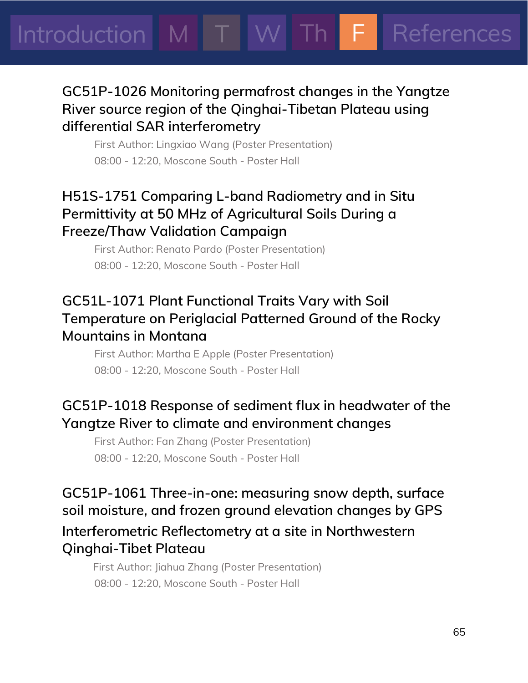FReferences **Introduction** I M

### **GC51P-1026 Monitoring permafrost changes in the Yangtze River source region of the Qinghai-Tibetan Plateau using differential SAR interferometry**

 First Author: Lingxiao Wang (Poster Presentation) 08:00 - 12:20, Moscone South - Poster Hall

#### **H51S-1751 Comparing L-band Radiometry and in Situ Permittivity at 50 MHz of Agricultural Soils During a Freeze/Thaw Validation Campaign**

 First Author: Renato Pardo (Poster Presentation) 08:00 - 12:20, Moscone South - Poster Hall

#### **GC51L-1071 Plant Functional Traits Vary with Soil Temperature on Periglacial Patterned Ground of the Rocky Mountains in Montana**

 First Author: Martha E Apple (Poster Presentation) 08:00 - 12:20, Moscone South - Poster Hall

## **GC51P-1018 Response of sediment flux in headwater of the Yangtze River to climate and environment changes**

 First Author: Fan Zhang (Poster Presentation) 08:00 - 12:20, Moscone South - Poster Hall

**GC51P-1061 Three-in-one: measuring snow depth, surface soil moisture, and frozen ground elevation changes by GPS Interferometric Reflectometry at a site in Northwestern Qinghai-Tibet Plateau** 

First Author: Jiahua Zhang (Poster Presentation) 08:00 - 12:20, Moscone South - Poster Hall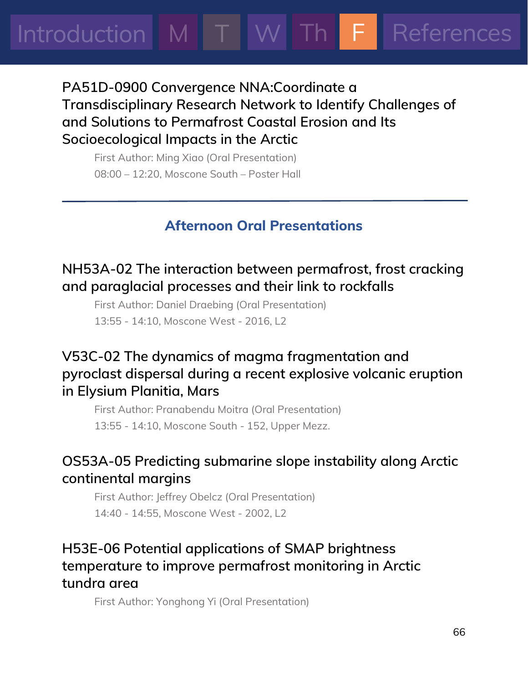FReferences Introduction I M

### **PA51D-0900 Convergence NNA:Coordinate a Transdisciplinary Research Network to Identify Challenges of and Solutions to Permafrost Coastal Erosion and Its Socioecological Impacts in the Arctic**

 First Author: Ming Xiao (Oral Presentation) 08:00 – 12:20, Moscone South – Poster Hall

#### **Afternoon Oral Presentations**

#### <span id="page-65-0"></span>**NH53A-02 The interaction between permafrost, frost cracking and paraglacial processes and their link to rockfalls**

 First Author: Daniel Draebing (Oral Presentation) 13:55 - 14:10, Moscone West - 2016, L2

#### **V53C-02 The dynamics of magma fragmentation and pyroclast dispersal during a recent explosive volcanic eruption in Elysium Planitia, Mars**

 First Author: Pranabendu Moitra (Oral Presentation) 13:55 - 14:10, Moscone South - 152, Upper Mezz.

#### **OS53A-05 Predicting submarine slope instability along Arctic continental margins**

 First Author: Jeffrey Obelcz (Oral Presentation) 14:40 - 14:55, Moscone West - 2002, L2

#### **H53E-06 Potential applications of SMAP brightness temperature to improve permafrost monitoring in Arctic tundra area**

First Author: Yonghong Yi (Oral Presentation)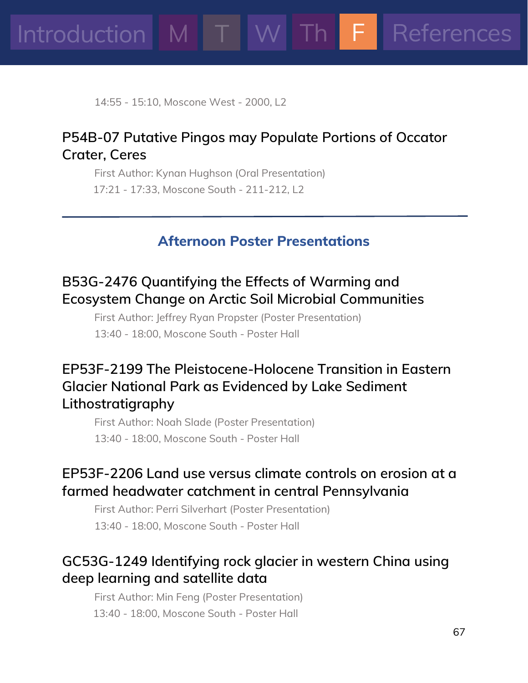14:55 - 15:10, Moscone West - 2000, L2

#### **P54B-07 Putative Pingos may Populate Portions of Occator Crater, Ceres**

 First Author: Kynan Hughson (Oral Presentation) 17:21 - 17:33, Moscone South - 211-212, L2

#### **Afternoon Poster Presentations**

#### <span id="page-66-0"></span>**B53G-2476 Quantifying the Effects of Warming and Ecosystem Change on Arctic Soil Microbial Communities**

 First Author: Jeffrey Ryan Propster (Poster Presentation) 13:40 - 18:00, Moscone South - Poster Hall

#### **EP53F-2199 The Pleistocene-Holocene Transition in Eastern Glacier National Park as Evidenced by Lake Sediment Lithostratigraphy**

 First Author: Noah Slade (Poster Presentation) 13:40 - 18:00, Moscone South - Poster Hall

#### **EP53F-2206 Land use versus climate controls on erosion at a farmed headwater catchment in central Pennsylvania**

 First Author: Perri Silverhart (Poster Presentation) 13:40 - 18:00, Moscone South - Poster Hall

#### **GC53G-1249 Identifying rock glacier in western China using deep learning and satellite data**

 First Author: Min Feng (Poster Presentation) 13:40 - 18:00, Moscone South - Poster Hall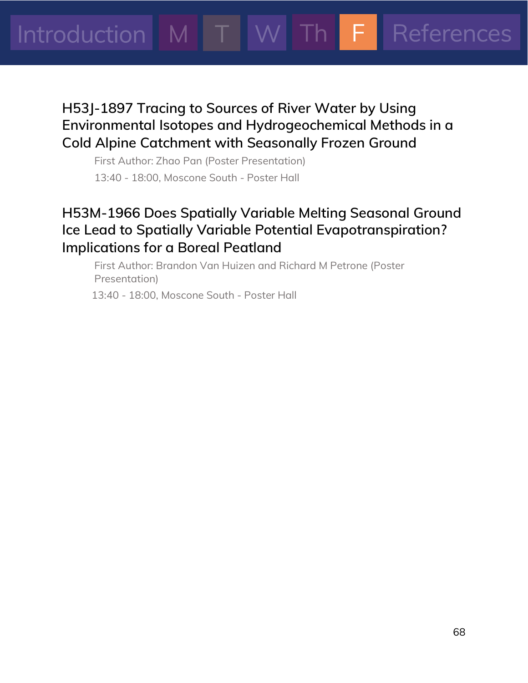FReferences Introduction M

#### **H53J-1897 Tracing to Sources of River Water by Using Environmental Isotopes and Hydrogeochemical Methods in a Cold Alpine Catchment with Seasonally Frozen Ground**

 First Author: Zhao Pan (Poster Presentation) 13:40 - 18:00, Moscone South - Poster Hall

#### **H53M-1966 Does Spatially Variable Melting Seasonal Ground Ice Lead to Spatially Variable Potential Evapotranspiration? Implications for a Boreal Peatland**

First Author: Brandon Van Huizen and Richard M Petrone (Poster Presentation) 13:40 - 18:00, Moscone South - Poster Hall